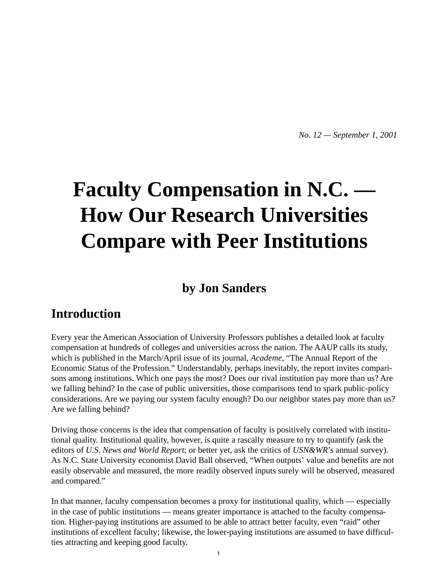*No. 12 — September 1, 2001*

# **Faculty Compensation in N.C. — How Our Research Universities Compare with Peer Institutions**

## **by Jon Sanders**

## **Introduction**

Every year the American Association of University Professors publishes a detailed look at faculty compensation at hundreds of colleges and universities across the nation. The AAUP calls its study, which is published in the March/April issue of its journal, *Academe*, "The Annual Report of the Economic Status of the Profession." Understandably, perhaps inevitably, the report invites comparisons among institutions. Which one pays the most? Does our rival institution pay more than us? Are we falling behind? In the case of public universities, those comparisons tend to spark public-policy considerations. Are we paying our system faculty enough? Do our neighbor states pay more than us? Are we falling behind?

Driving those concerns is the idea that compensation of faculty is positively correlated with institutional quality. Institutional quality, however, is quite a rascally measure to try to quantify (ask the editors of *U.S. News and World Report*; or better yet, ask the critics of *USN&WR*'s annual survey). As N.C. State University economist David Ball observed, "When outputs' value and benefits are not easily observable and measured, the more readily observed inputs surely will be observed, measured and compared."

In that manner, faculty compensation becomes a proxy for institutional quality, which — especially in the case of public institutions — means greater importance is attached to the faculty compensation. Higher-paying institutions are assumed to be able to attract better faculty, even "raid" other institutions of excellent faculty; likewise, the lower-paying institutions are assumed to have difficulties attracting and keeping good faculty.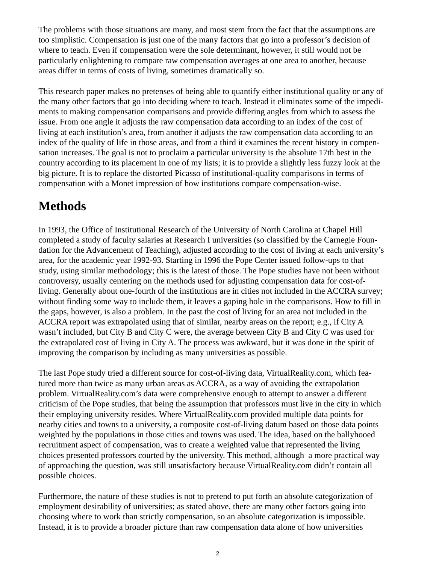The problems with those situations are many, and most stem from the fact that the assumptions are too simplistic. Compensation is just one of the many factors that go into a professor's decision of where to teach. Even if compensation were the sole determinant, however, it still would not be particularly enlightening to compare raw compensation averages at one area to another, because areas differ in terms of costs of living, sometimes dramatically so.

This research paper makes no pretenses of being able to quantify either institutional quality or any of the many other factors that go into deciding where to teach. Instead it eliminates some of the impediments to making compensation comparisons and provide differing angles from which to assess the issue. From one angle it adjusts the raw compensation data according to an index of the cost of living at each institution's area, from another it adjusts the raw compensation data according to an index of the quality of life in those areas, and from a third it examines the recent history in compensation increases. The goal is not to proclaim a particular university is the absolute 17th best in the country according to its placement in one of my lists; it is to provide a slightly less fuzzy look at the big picture. It is to replace the distorted Picasso of institutional-quality comparisons in terms of compensation with a Monet impression of how institutions compare compensation-wise.

## **Methods**

In 1993, the Office of Institutional Research of the University of North Carolina at Chapel Hill completed a study of faculty salaries at Research I universities (so classified by the Carnegie Foundation for the Advancement of Teaching), adjusted according to the cost of living at each university's area, for the academic year 1992-93. Starting in 1996 the Pope Center issued follow-ups to that study, using similar methodology; this is the latest of those. The Pope studies have not been without controversy, usually centering on the methods used for adjusting compensation data for cost-ofliving. Generally about one-fourth of the institutions are in cities not included in the ACCRA survey; without finding some way to include them, it leaves a gaping hole in the comparisons. How to fill in the gaps, however, is also a problem. In the past the cost of living for an area not included in the ACCRA report was extrapolated using that of similar, nearby areas on the report; e.g., if City A wasn't included, but City B and City C were, the average between City B and City C was used for the extrapolated cost of living in City A. The process was awkward, but it was done in the spirit of improving the comparison by including as many universities as possible.

The last Pope study tried a different source for cost-of-living data, VirtualReality.com, which featured more than twice as many urban areas as ACCRA, as a way of avoiding the extrapolation problem. VirtualReality.com's data were comprehensive enough to attempt to answer a different criticism of the Pope studies, that being the assumption that professors must live in the city in which their employing university resides. Where VirtualReality.com provided multiple data points for nearby cities and towns to a university, a composite cost-of-living datum based on those data points weighted by the populations in those cities and towns was used. The idea, based on the ballyhooed recruitment aspect of compensation, was to create a weighted value that represented the living choices presented professors courted by the university. This method, although a more practical way of approaching the question, was still unsatisfactory because VirtualReality.com didn't contain all possible choices.

Furthermore, the nature of these studies is not to pretend to put forth an absolute categorization of employment desirability of universities; as stated above, there are many other factors going into choosing where to work than strictly compensation, so an absolute categorization is impossible. Instead, it is to provide a broader picture than raw compensation data alone of how universities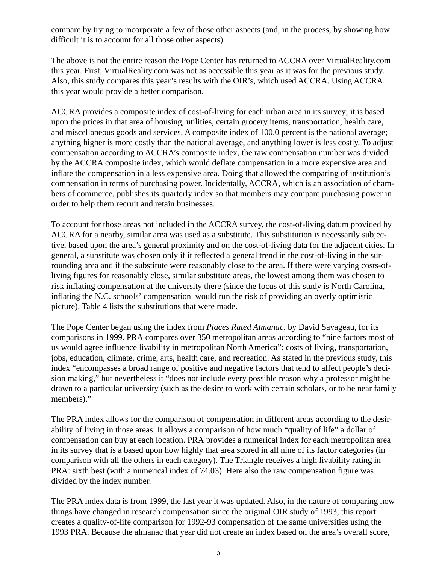compare by trying to incorporate a few of those other aspects (and, in the process, by showing how difficult it is to account for all those other aspects).

The above is not the entire reason the Pope Center has returned to ACCRA over VirtualReality.com this year. First, VirtualReality.com was not as accessible this year as it was for the previous study. Also, this study compares this year's results with the OIR's, which used ACCRA. Using ACCRA this year would provide a better comparison.

ACCRA provides a composite index of cost-of-living for each urban area in its survey; it is based upon the prices in that area of housing, utilities, certain grocery items, transportation, health care, and miscellaneous goods and services. A composite index of 100.0 percent is the national average; anything higher is more costly than the national average, and anything lower is less costly. To adjust compensation according to ACCRA's composite index, the raw compensation number was divided by the ACCRA composite index, which would deflate compensation in a more expensive area and inflate the compensation in a less expensive area. Doing that allowed the comparing of institution's compensation in terms of purchasing power. Incidentally, ACCRA, which is an association of chambers of commerce, publishes its quarterly index so that members may compare purchasing power in order to help them recruit and retain businesses.

To account for those areas not included in the ACCRA survey, the cost-of-living datum provided by ACCRA for a nearby, similar area was used as a substitute. This substitution is necessarily subjective, based upon the area's general proximity and on the cost-of-living data for the adjacent cities. In general, a substitute was chosen only if it reflected a general trend in the cost-of-living in the surrounding area and if the substitute were reasonably close to the area. If there were varying costs-ofliving figures for reasonably close, similar substitute areas, the lowest among them was chosen to risk inflating compensation at the university there (since the focus of this study is North Carolina, inflating the N.C. schools' compensation would run the risk of providing an overly optimistic picture). Table 4 lists the substitutions that were made.

The Pope Center began using the index from *Places Rated Almanac*, by David Savageau, for its comparisons in 1999. PRA compares over 350 metropolitan areas according to "nine factors most of us would agree influence livability in metropolitan North America": costs of living, transportation, jobs, education, climate, crime, arts, health care, and recreation. As stated in the previous study, this index "encompasses a broad range of positive and negative factors that tend to affect people's decision making," but nevertheless it "does not include every possible reason why a professor might be drawn to a particular university (such as the desire to work with certain scholars, or to be near family members)."

The PRA index allows for the comparison of compensation in different areas according to the desirability of living in those areas. It allows a comparison of how much "quality of life" a dollar of compensation can buy at each location. PRA provides a numerical index for each metropolitan area in its survey that is a based upon how highly that area scored in all nine of its factor categories (in comparison with all the others in each category). The Triangle receives a high livability rating in PRA: sixth best (with a numerical index of 74.03). Here also the raw compensation figure was divided by the index number.

The PRA index data is from 1999, the last year it was updated. Also, in the nature of comparing how things have changed in research compensation since the original OIR study of 1993, this report creates a quality-of-life comparison for 1992-93 compensation of the same universities using the 1993 PRA. Because the almanac that year did not create an index based on the area's overall score,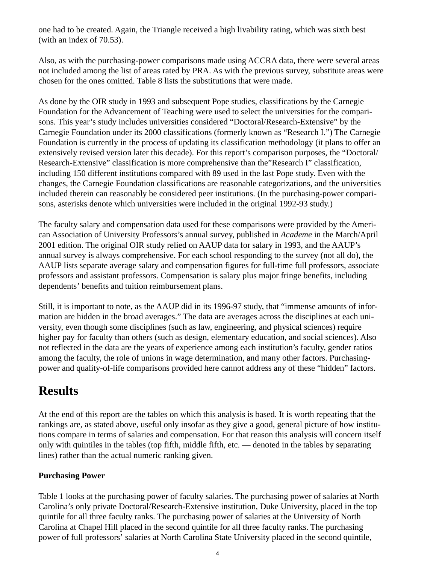one had to be created. Again, the Triangle received a high livability rating, which was sixth best (with an index of 70.53).

Also, as with the purchasing-power comparisons made using ACCRA data, there were several areas not included among the list of areas rated by PRA. As with the previous survey, substitute areas were chosen for the ones omitted. Table 8 lists the substitutions that were made.

As done by the OIR study in 1993 and subsequent Pope studies, classifications by the Carnegie Foundation for the Advancement of Teaching were used to select the universities for the comparisons. This year's study includes universities considered "Doctoral/Research-Extensive" by the Carnegie Foundation under its 2000 classifications (formerly known as "Research I.") The Carnegie Foundation is currently in the process of updating its classification methodology (it plans to offer an extensively revised version later this decade). For this report's comparison purposes, the "Doctoral/ Research-Extensive" classification is more comprehensive than the"Research I" classification, including 150 different institutions compared with 89 used in the last Pope study. Even with the changes, the Carnegie Foundation classifications are reasonable categorizations, and the universities included therein can reasonably be considered peer institutions. (In the purchasing-power comparisons, asterisks denote which universities were included in the original 1992-93 study.)

The faculty salary and compensation data used for these comparisons were provided by the American Association of University Professors's annual survey, published in *Academe* in the March/April 2001 edition. The original OIR study relied on AAUP data for salary in 1993, and the AAUP's annual survey is always comprehensive. For each school responding to the survey (not all do), the AAUP lists separate average salary and compensation figures for full-time full professors, associate professors and assistant professors. Compensation is salary plus major fringe benefits, including dependents' benefits and tuition reimbursement plans.

Still, it is important to note, as the AAUP did in its 1996-97 study, that "immense amounts of information are hidden in the broad averages." The data are averages across the disciplines at each university, even though some disciplines (such as law, engineering, and physical sciences) require higher pay for faculty than others (such as design, elementary education, and social sciences). Also not reflected in the data are the years of experience among each institution's faculty, gender ratios among the faculty, the role of unions in wage determination, and many other factors. Purchasingpower and quality-of-life comparisons provided here cannot address any of these "hidden" factors.

# **Results**

At the end of this report are the tables on which this analysis is based. It is worth repeating that the rankings are, as stated above, useful only insofar as they give a good, general picture of how institutions compare in terms of salaries and compensation. For that reason this analysis will concern itself only with quintiles in the tables (top fifth, middle fifth, etc. — denoted in the tables by separating lines) rather than the actual numeric ranking given.

## **Purchasing Power**

Table 1 looks at the purchasing power of faculty salaries. The purchasing power of salaries at North Carolina's only private Doctoral/Research-Extensive institution, Duke University, placed in the top quintile for all three faculty ranks. The purchasing power of salaries at the University of North Carolina at Chapel Hill placed in the second quintile for all three faculty ranks. The purchasing power of full professors' salaries at North Carolina State University placed in the second quintile,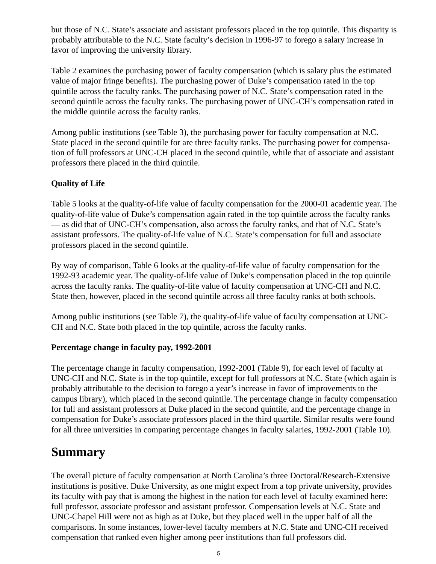but those of N.C. State's associate and assistant professors placed in the top quintile. This disparity is probably attributable to the N.C. State faculty's decision in 1996-97 to forego a salary increase in favor of improving the university library.

Table 2 examines the purchasing power of faculty compensation (which is salary plus the estimated value of major fringe benefits). The purchasing power of Duke's compensation rated in the top quintile across the faculty ranks. The purchasing power of N.C. State's compensation rated in the second quintile across the faculty ranks. The purchasing power of UNC-CH's compensation rated in the middle quintile across the faculty ranks.

Among public institutions (see Table 3), the purchasing power for faculty compensation at N.C. State placed in the second quintile for are three faculty ranks. The purchasing power for compensation of full professors at UNC-CH placed in the second quintile, while that of associate and assistant professors there placed in the third quintile.

### **Quality of Life**

Table 5 looks at the quality-of-life value of faculty compensation for the 2000-01 academic year. The quality-of-life value of Duke's compensation again rated in the top quintile across the faculty ranks — as did that of UNC-CH's compensation, also across the faculty ranks, and that of N.C. State's assistant professors. The quality-of-life value of N.C. State's compensation for full and associate professors placed in the second quintile.

By way of comparison, Table 6 looks at the quality-of-life value of faculty compensation for the 1992-93 academic year. The quality-of-life value of Duke's compensation placed in the top quintile across the faculty ranks. The quality-of-life value of faculty compensation at UNC-CH and N.C. State then, however, placed in the second quintile across all three faculty ranks at both schools.

Among public institutions (see Table 7), the quality-of-life value of faculty compensation at UNC-CH and N.C. State both placed in the top quintile, across the faculty ranks.

#### **Percentage change in faculty pay, 1992-2001**

The percentage change in faculty compensation, 1992-2001 (Table 9), for each level of faculty at UNC-CH and N.C. State is in the top quintile, except for full professors at N.C. State (which again is probably attributable to the decision to forego a year's increase in favor of improvements to the campus library), which placed in the second quintile. The percentage change in faculty compensation for full and assistant professors at Duke placed in the second quintile, and the percentage change in compensation for Duke's associate professors placed in the third quartile. Similar results were found for all three universities in comparing percentage changes in faculty salaries, 1992-2001 (Table 10).

## **Summary**

The overall picture of faculty compensation at North Carolina's three Doctoral/Research-Extensive institutions is positive. Duke University, as one might expect from a top private university, provides its faculty with pay that is among the highest in the nation for each level of faculty examined here: full professor, associate professor and assistant professor. Compensation levels at N.C. State and UNC-Chapel Hill were not as high as at Duke, but they placed well in the upper half of all the comparisons. In some instances, lower-level faculty members at N.C. State and UNC-CH received compensation that ranked even higher among peer institutions than full professors did.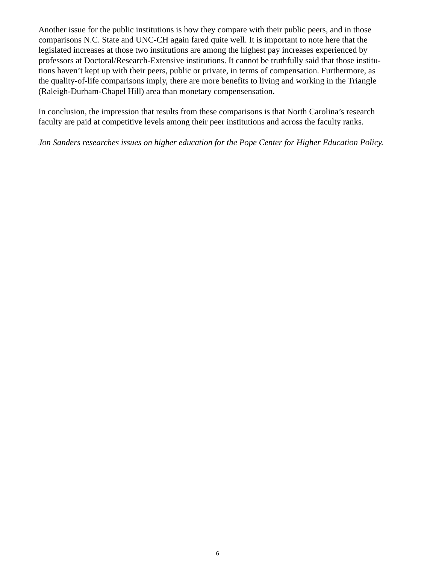Another issue for the public institutions is how they compare with their public peers, and in those comparisons N.C. State and UNC-CH again fared quite well. It is important to note here that the legislated increases at those two institutions are among the highest pay increases experienced by professors at Doctoral/Research-Extensive institutions. It cannot be truthfully said that those institutions haven't kept up with their peers, public or private, in terms of compensation. Furthermore, as the quality-of-life comparisons imply, there are more benefits to living and working in the Triangle (Raleigh-Durham-Chapel Hill) area than monetary compensensation.

In conclusion, the impression that results from these comparisons is that North Carolina's research faculty are paid at competitive levels among their peer institutions and across the faculty ranks.

#### *Jon Sanders researches issues on higher education for the Pope Center for Higher Education Policy.*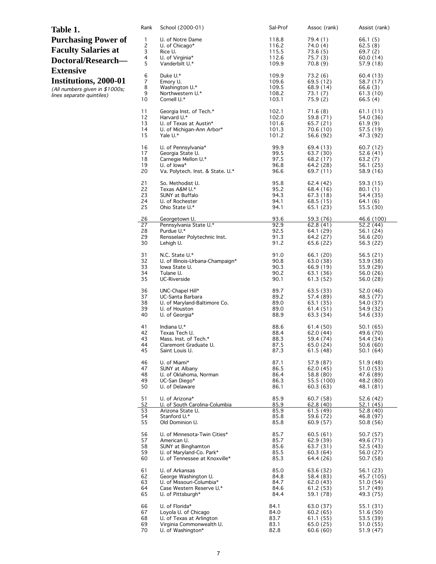| Table 1.                                                                                                 | Rank                                | School (2000-01)                                                                      | Sal-Prof                                  | Assoc (rank)                                            | Assist (rank)                                            |
|----------------------------------------------------------------------------------------------------------|-------------------------------------|---------------------------------------------------------------------------------------|-------------------------------------------|---------------------------------------------------------|----------------------------------------------------------|
| <b>Purchasing Power of</b><br><b>Faculty Salaries at</b><br>Doctoral/Research-                           | $\mathbf{1}$<br>2<br>3<br>4<br>5    | U. of Notre Dame<br>U. of Chicago $*$<br>Rice U.<br>U. of Virginia*<br>Vanderbilt U.* | 118.8<br>116.2<br>115.5<br>112.6<br>109.9 | 79.4 (1)<br>74.0 (4)<br>73.6(5)<br>75.7(3)<br>70.8(9)   | 66.1(5)<br>62.5(8)<br>69.7(2)<br>60.0(14)<br>57.9(18)    |
| <b>Extensive</b><br>Institutions, 2000-01<br>(All numbers given in \$1000s;<br>lines separate quintiles) | 6<br>$\overline{7}$<br>8<br>9<br>10 | Duke U.*<br>Emory U.<br>Washington U.*<br>Northwestern U.*<br>Cornell U.*             | 109.9<br>109.6<br>109.5<br>108.2<br>103.1 | 73.2(6)<br>69.5 (12)<br>68.9 (14)<br>73.1(7)<br>75.9(2) | 60.4 (13)<br>58.7 (17)<br>66.6(3)<br>61.3(10)<br>66.5(4) |
|                                                                                                          | 11                                  | Georgia Inst. of Tech.*                                                               | 102.1                                     | 71.6(8)                                                 | 61.1(11)                                                 |
|                                                                                                          | 12                                  | Harvard U.*                                                                           | 102.0                                     | 59.8 (71)                                               | 54.0 (36)                                                |
|                                                                                                          | 13                                  | U. of Texas at Austin*                                                                | 101.6                                     | 65.7 (21)                                               | 61.9(9)                                                  |
|                                                                                                          | 14                                  | U. of Michigan-Ann Arbor*                                                             | 101.3                                     | 70.6 (10)                                               | 57.5 (19)                                                |
|                                                                                                          | 15                                  | Yale U.*                                                                              | 101.2                                     | 56.6 (92)                                               | 47.3 (92)                                                |
|                                                                                                          | 16                                  | U. of Pennsylvania*                                                                   | 99.9                                      | 69.4 (13)                                               | 60.7(12)                                                 |
|                                                                                                          | 17                                  | Georgia State U.                                                                      | 99.5                                      | 63.7 (30)                                               | 52.6 (41)                                                |
|                                                                                                          | 18                                  | Carnegie Mellon U.*                                                                   | 97.5                                      | 68.2 (17)                                               | 63.2(7)                                                  |
|                                                                                                          | 19                                  | U. of lowa*                                                                           | 96.8                                      | 64.2 (28)                                               | 56.1(25)                                                 |
|                                                                                                          | 20                                  | Va. Polytech. Inst. & State. U.*                                                      | 96.6                                      | 69.7 (11)                                               | 58.9 (16)                                                |
|                                                                                                          | 21                                  | So. Methodist U.                                                                      | 95.8                                      | 62.4 (42)                                               | 59.3 (15)                                                |
|                                                                                                          | 22                                  | Texas A&M U.*                                                                         | 95.2                                      | 68.4 (16)                                               | 80.1(1)                                                  |
|                                                                                                          | 23                                  | SUNY at Buffalo                                                                       | 94.3                                      | 67.3(18)                                                | 54.4 (35)                                                |
|                                                                                                          | 24                                  | U. of Rochester                                                                       | 94.1                                      | 68.5 (15)                                               | 64.1(6)                                                  |
|                                                                                                          | 25                                  | Ohio State U.*                                                                        | 94.1                                      | 65.1(23)                                                | 55.5 (30)                                                |
|                                                                                                          | 26                                  | Georgetown U.                                                                         | 93.6                                      | 59.3 (76)                                               | 46.6 (100)                                               |
|                                                                                                          | 27                                  | Pennsylvania State U.*                                                                | 92.9                                      | 62.8(41)                                                | 52.2(44)                                                 |
|                                                                                                          | 28                                  | Purdue U.*                                                                            | 92.5                                      | 64.1 (29)                                               | 56.1 (24)                                                |
|                                                                                                          | 29                                  | Rensselaer Polytechnic Inst.                                                          | 91.3                                      | 64.2 (27)                                               | 56.6 (20)                                                |
|                                                                                                          | 30                                  | Lehigh U.                                                                             | 91.2                                      | 65.6 (22)                                               | 56.3 (22)                                                |
|                                                                                                          | 31                                  | N.C. State U.*                                                                        | 91.0                                      | 66.1 (20)                                               | 56.5(21)                                                 |
|                                                                                                          | 32                                  | U. of Illinois-Urbana-Champaign*                                                      | 90.8                                      | 63.0 (38)                                               | 53.9 (38)                                                |
|                                                                                                          | 33                                  | lowa State U.                                                                         | 90.3                                      | 66.9 (19)                                               | 55.9 (29)                                                |
|                                                                                                          | 34                                  | Tulane U.                                                                             | 90.2                                      | 63.1 (36)                                               | 56.0(26)                                                 |
|                                                                                                          | 35                                  | UC-Riverside                                                                          | 90.1                                      | 61.3 (52)                                               | 56.0 (28)                                                |
|                                                                                                          | 36                                  | UNC-Chapel Hill*                                                                      | 89.7                                      | 63.5 (33)                                               | 52.0 (46)                                                |
|                                                                                                          | 37                                  | UC-Santa Barbara                                                                      | 89.2                                      | 57.4 (89)                                               | 48.5 (77)                                                |
|                                                                                                          | 38                                  | U. of Maryland-Baltimore Co.                                                          | 89.0                                      | 63.1 (35)                                               | 54.0 (37)                                                |
|                                                                                                          | 39                                  | U. of Houston                                                                         | 89.0                                      | 61.4 (51)                                               | 54.9 (32)                                                |
|                                                                                                          | 40                                  | U. of Georgia*                                                                        | 88.9                                      | 63.3 (34)                                               | 54.6 (33)                                                |
|                                                                                                          | 41                                  | Indiana U.*                                                                           | 88.6                                      | 61.4 (50)                                               | 50.1 (65)                                                |
|                                                                                                          | 42                                  | Texas Tech U.                                                                         | 88.4                                      | 62.0 (44)                                               | 49.6 (70)                                                |
|                                                                                                          | 43                                  | Mass. Inst. of Tech.*                                                                 | 88.3                                      | 59.4 (74)                                               | 54.4 (34)                                                |
|                                                                                                          | 44                                  | Claremont Graduate U.                                                                 | 87.5                                      | 65.0 (24)                                               | 50.6(60)                                                 |
|                                                                                                          | 45                                  | Saint Louis U.                                                                        | 87.3                                      | 61.5(48)                                                | 50.1 (64)                                                |
|                                                                                                          | 46                                  | U. of Miami*                                                                          | 87.1                                      | 57.9 (87)                                               | 51.9 (48)                                                |
|                                                                                                          | 47                                  | SUNY at Albany                                                                        | 86.5                                      | 62.0 (45)                                               | 51.0(53)                                                 |
|                                                                                                          | 48                                  | U. of Oklahoma, Norman                                                                | 86.4                                      | 58.8 (80)                                               | 47.6 (89)                                                |
|                                                                                                          | 49                                  | UC-San Diego*                                                                         | 86.3                                      | 55.5 (100)                                              | 48.2 (80)                                                |
|                                                                                                          | 50                                  | U. of Delaware                                                                        | 86.1                                      | 60.3(63)                                                | 48.1 (81)                                                |
|                                                                                                          | 51                                  | U. of Arizona*                                                                        | 85.9                                      | 60.7 (58)                                               | 52.6(42)                                                 |
|                                                                                                          | 52                                  | U. of South Carolina-Columbia                                                         | 85.9                                      | 62.8(40)                                                | 52.1(45)                                                 |
|                                                                                                          | 53                                  | Arizona State U.                                                                      | 85.9                                      | 61.5(49)                                                | 52.8 (40)                                                |
|                                                                                                          | 54                                  | Stanford U.*                                                                          | 85.8                                      | 59.6 (72)                                               | 46.8 (97)                                                |
|                                                                                                          | 55                                  | Old Dominion U.                                                                       | 85.8                                      | 60.9(57)                                                | 50.8 (56)                                                |
|                                                                                                          | 56                                  | U. of Minnesota-Twin Cities*                                                          | 85.7                                      | 60.5(61)                                                | 50.7 (57)                                                |
|                                                                                                          | 57                                  | American U.                                                                           | 85.7                                      | 62.9(39)                                                | 49.6 (71)                                                |
|                                                                                                          | 58                                  | SUNY at Binghamton                                                                    | 85.6                                      | 63.7 (31)                                               | 52.5(43)                                                 |
|                                                                                                          | 59                                  | U. of Maryland-Co. Park*                                                              | 85.5                                      | 60.3(64)                                                | 56.0 (27)                                                |
|                                                                                                          | 60                                  | U. of Tennessee at Knoxville*                                                         | 85.3                                      | 64.4 (26)                                               | 50.7(58)                                                 |
|                                                                                                          | 61                                  | U. of Arkansas                                                                        | 85.0                                      | 63.6 (32)                                               | 56.1 (23)                                                |
|                                                                                                          | 62                                  | George Washington U.                                                                  | 84.8                                      | 58.4 (83)                                               | 45.7 (105)                                               |
|                                                                                                          | 63                                  | U. of Missouri-Columbia*                                                              | 84.7                                      | 62.0 (43)                                               | 51.0 (54)                                                |
|                                                                                                          | 64                                  | Case Western Reserve U.*                                                              | 84.6                                      | 61.2 (53)                                               | 51.7 (49)                                                |
|                                                                                                          | 65                                  | U. of Pittsburgh*                                                                     | 84.4                                      | 59.1 (78)                                               | 49.3 (75)                                                |
|                                                                                                          | 66                                  | U. of Florida*                                                                        | 84.1                                      | 63.0 (37)                                               | 55.1 (31)                                                |
|                                                                                                          | 67                                  | Loyola U. of Chicago                                                                  | 84.0                                      | 60.2(65)                                                | 51.6 (50)                                                |
|                                                                                                          | 68                                  | U. of Texas at Arlington                                                              | 83.7                                      | 61.1 (55)                                               | 53.5 (39)                                                |
|                                                                                                          | 69                                  | Virginia Commonwealth U.                                                              | 83.1                                      | 65.0 (25)                                               | 51.0(55)                                                 |
|                                                                                                          | 70                                  | U. of Washington*                                                                     | 82.8                                      | 60.6(60)                                                | 51.9(47)                                                 |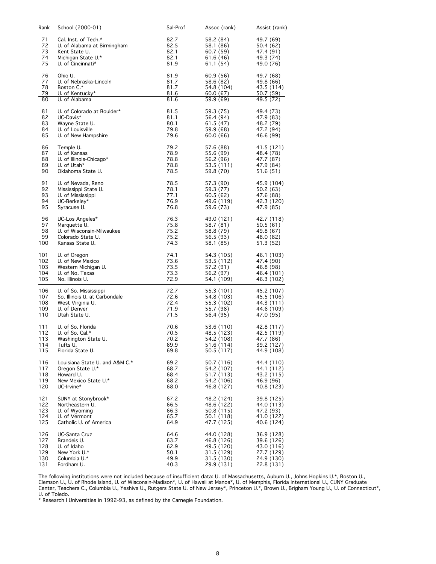| Rank     | School (2000-01)                 | Sal-Prof | Assoc (rank) | Assist (rank) |
|----------|----------------------------------|----------|--------------|---------------|
| 71       | Cal. Inst. of Tech.*             | 82.7     | 58.2 (84)    | 49.7 (69)     |
| 72       | U. of Alabama at Birmingham      | 82.5     | 58.1 (86)    | 50.4 (62)     |
| 73       | Kent State U.                    | 82.1     | 60.7 (59)    | 47.4 (91)     |
| 74       | Michigan State U.*               | 82.1     | 61.6 (46)    | 49.3 (74)     |
| 75       | U. of Cincinnati*                | 81.9     | 61.1 (54)    | 49.0 (76)     |
| 76       | Ohio U.                          | 81.9     | 60.9 (56)    | 49.7 (68)     |
| 77       | U. of Nebraska-Lincoln           | 81.7     | 58.6 (82)    | 49.8 (66)     |
| 78       | Boston C.*                       | 81.7     | 54.8 (104)   | 43.5 (114)    |
| 79       | U. of Kentucky*                  | 81.6     | 60.0 (67)    | 50.7(59)      |
| 80       | U. of Alabama                    | 81.6     | 59.9 (69)    | 49.5 (72)     |
| 81       | U. of Colorado at Boulder*       | 81.5     | 59.3 (75)    | 49.4 (73)     |
| 82       | UC-Davis*                        | 81.1     | 56.4 (94)    | 47.9 (83)     |
| 83       | Wayne State U.                   | 80.1     | 61.5 (47)    | 48.2 (79)     |
| 84       | U. of Louisville                 | 79.8     | 59.9 (68)    | 47.2 (94)     |
| 85       | U. of New Hampshire              | 79.6     | 60.0 (66)    | 46.6 (99)     |
| 86       | Temple U.                        | 79.2     | 57.6 (88)    | 41.5 (121)    |
| 87       | U. of Kansas                     | 78.9     | 55.6 (99)    | 48.4 (78)     |
| 88       | U. of Illinois-Chicago*          | 78.8     | 56.2 (96)    | 47.7 (87)     |
| 89<br>90 | U. of Utah*<br>Oklahoma State U. | 78.8     | 53.5 (111)   | 47.9 (84)     |
|          |                                  | 78.5     | 59.8 (70)    | 51.6 (51)     |
| 91       | U. of Nevada, Reno               | 78.5     | 57.3 (90)    | 45.9 (104)    |
| 92       | Mississippi State U.             | 78.1     | 59.3 (77)    | 50.2 (63)     |
| 93       | U. of Mississippi                | 77.1     | 60.5 (62)    | 47.6 (88)     |
| 94       | UC-Berkeley*                     | 76.9     | 49.6 (119)   | 42.3 (120)    |
| 95       | Syracuse U.                      | 76.8     | 59.6 (73)    | 47.9 (85)     |
| 96       | UC-Los Angeles*                  | 76.3     | 49.0 (121)   | 42.7 (118)    |
| 97       | Marquette U.                     | 75.8     | 58.7 (81)    | 50.5(61)      |
| 98       | U. of Wisconsin-Milwaukee        | 75.2     | 58.8 (79)    | 49.8 (67)     |
| 99       | Colorado State U.                | 75.2     | 56.5 (93)    | 48.0 (82)     |
| 100      | Kansas State U.                  | 74.3     | 58.1 (85)    | 51.3 (52)     |
| 101      | U. of Oregon                     | 74.1     | 54.3 (105)   | 46.1 (103)    |
| 102      | U. of New Mexico                 | 73.6     | 53.5 (112)   | 47.4 (90)     |
| 103      | Western Michigan U.              | 73.5     | 57.2 (91)    | 46.8 (98)     |
| 104      | U. of No. Texas                  | 73.3     | 56.2 (97)    | 46.4 (101)    |
| 105      | No. Illinois U.                  | 72.9     | 54.1 (109)   | 46.3 (102)    |
| 106      | U. of So. Mississippi            | 72.7     | 55.3 (101)   | 45.2 (107)    |
| 107      | So. Illinois U. at Carbondale    | 72.6     | 54.8 (103)   | 45.5 (106)    |
| 108      | West Virginia U.                 | 72.4     | 55.3 (102)   | 44.3 (111)    |
| 109      | U. of Denver                     | 71.9     | 55.7 (98)    | 44.6 (109)    |
| 110      | Utah State U.                    | 71.5     | 56.4 (95)    | 47.0 (95)     |
| 111      | U. of So. Florida                | 70.6     | 53.6 (110)   | 42.8 (117)    |
| 112      | U. of So. Cal.*                  | 70.5     | 48.5 (123)   | 42.5 (119)    |
| 113      | Washington State U.              | 70.2     | 54.2 (108)   | 47.7 (86)     |
| 114      | Tufts U.                         | 69.9     | 51.6 (114)   | 39.2 (127)    |
| 115      | Florida State U.                 | 69.8     | 50.5 (117)   | 44.9 (108)    |
| 116      | Louisiana State U. and A&M C.*   | 69.2     | 50.7 (116)   | 44.4 (110)    |
| 117      | Oregon State U.*                 | 68.7     | 54.2 (107)   | 44.1 (112)    |
| 118      | Howard U.                        | 68.4     | 51.7 (113)   | 43.2 (115)    |
| 119      | New Mexico State U.*             | 68.2     | 54.2 (106)   | 46.9 (96)     |
| 120      | UC-Irvine*                       | 68.0     | 46.8 (127)   | 40.8 (123)    |
| 121      | SUNY at Stonybrook*              | 67.2     | 48.2 (124)   | 39.8 (125)    |
| 122      | Northeastern U.                  | 66.5     | 48.6 (122)   | 44.0 (113)    |
| 123      | U. of Wyoming                    | 66.3     | 50.8 (115)   | 47.2 (93)     |
| 124      | U. of Vermont                    | 65.7     | 50.1 (118)   | 41.0 (122)    |
| 125      | Catholic U. of America           | 64.9     | 47.7 (125)   | 40.6 (124)    |
| 126      | UC-Santa Cruz                    | 64.6     | 44.0 (128)   | 36.9 (128)    |
| 127      | Brandeis U.                      | 63.7     | 46.8 (126)   | 39.6 (126)    |
| 128      | U. of Idaho                      | 62.9     | 49.5 (120)   | 43.0 (116)    |
| 129      | New York U.*                     | 50.1     | 31.5 (129)   | 27.7 (129)    |
| 130      | Columbia U.*                     | 49.9     | 31.5 (130)   | 24.9 (130)    |
| 131      | Fordham U.                       | 40.3     | 29.9 (131)   | 22.8 (131)    |

The following institutions were not included because of insufficient data: U. of Massachusetts, Auburn U., Johns Hopkins U.\*, Boston U., Clemson U., U. of Rhode Island, U. of Wisconsin-Madison\*, U. of Hawaii at Manoa\*, U. of Memphis, Florida International U., CUNY Graduate Center, Teachers C., Columbia U., Yeshiva U., Rutgers State U. of New Jersey\*, Princeton U.\*, Brown U., Brigham Young U., U. of Connecticut\*, U. of Toledo.

\* Research I Universities in 1992-93, as defined by the Carnegie Foundation.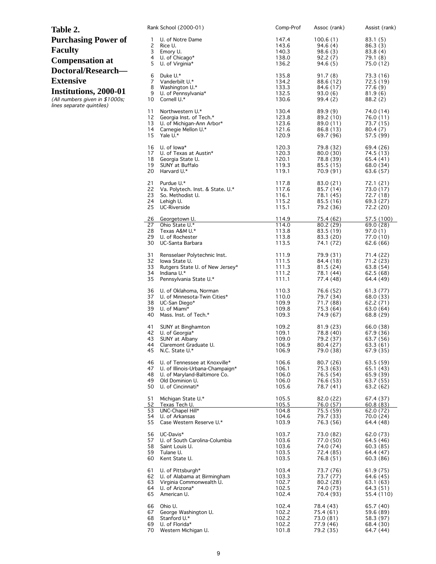| Table 2.                                                                                                                              | Rank School (2000-01)                                                                                                                                                   | Comp-Prof                                 | Assoc (rank)                                                  | Assist (rank)                                                        |
|---------------------------------------------------------------------------------------------------------------------------------------|-------------------------------------------------------------------------------------------------------------------------------------------------------------------------|-------------------------------------------|---------------------------------------------------------------|----------------------------------------------------------------------|
| <b>Purchasing Power of</b><br><b>Faculty</b><br><b>Compensation at</b>                                                                | U. of Notre Dame<br>1<br>2<br>Rice U.<br>3<br>Emory U.<br>4<br>U. of Chicago*<br>5<br>U. of Virginia*                                                                   | 147.4<br>143.6<br>140.3<br>138.0<br>136.2 | 100.6(1)<br>94.6(4)<br>98.6(3)<br>92.2(7)<br>94.6(5)          | 83.1 (5)<br>86.3(3)<br>83.8(4)<br>79.1 (8)<br>75.0 (12)              |
| Doctoral/Research-<br><b>Extensive</b><br><b>Institutions, 2000-01</b><br>(All numbers given in \$1000s;<br>lines separate quintiles) | 6<br>Duke U.*<br>7<br>Vanderbilt U.*<br>8<br>Washington U.*<br>9<br>U. of Pennsylvania*<br>10<br>Cornell U.*                                                            | 135.8<br>134.2<br>133.3<br>132.5<br>130.6 | 91.7(8)<br>88.6 (12)<br>84.6 (17)<br>93.0(6)<br>99.4 (2)      | 73.3 (16)<br>72.5(19)<br>77.6(9)<br>81.9(6)<br>88.2(2)               |
|                                                                                                                                       | 11<br>Northwestern U.*<br>12<br>Georgia Inst. of Tech.*<br>13<br>U. of Michigan-Ann Arbor*<br>14<br>Carnegie Mellon U.*<br>15<br>Yale U.*                               | 130.4<br>123.8<br>123.6<br>121.6<br>120.9 | 89.9 (9)<br>89.2 (10)<br>89.0 (11)<br>86.8 (13)<br>69.7 (96)  | 74.0 (14)<br>76.0 (11)<br>73.7 (15)<br>80.4 (7)<br>57.5 (99)         |
|                                                                                                                                       | 16<br>U. of lowa*<br>17<br>U. of Texas at Austin*<br>18<br>Georgia State U.<br>19<br>SUNY at Buffalo<br>20<br>Harvard U.*                                               | 120.3<br>120.3<br>120.1<br>119.3<br>119.1 | 79.8 (32)<br>80.0 (30)<br>78.8 (39)<br>85.5 (15)<br>70.9 (91) | 69.4 (26)<br>74.5 (13)<br>65.4 (41)<br>68.0 (34)<br>63.6 (57)        |
|                                                                                                                                       | 21<br>Purdue U.*<br>22<br>Va. Polytech. Inst. & State. U.*<br>23<br>So. Methodist U.<br>24<br>Lehigh U.<br>25<br>UC-Riverside                                           | 117.8<br>117.6<br>116.1<br>115.2<br>115.1 | 83.0 (21)<br>85.7 (14)<br>78.1 (45)<br>85.5 (16)<br>79.2 (36) | 72.1 (21)<br>73.0 (17)<br>72.7 (18)<br>69.3 (27)<br>72.2 (20)        |
|                                                                                                                                       | 26<br>Georgetown U.<br>27<br>Ohio State U.*<br>28<br>Texas A&M U.*<br>29<br>U. of Rochester<br>30<br>UC-Santa Barbara                                                   | 114.9<br>114.0<br>113.8<br>113.8<br>113.5 | 75.4 (62)<br>80.2 (29)<br>83.5 (19)<br>83.3 (20)<br>74.1 (72) | 57.5(100)<br>69.0 (28)<br>97.0 (1)<br>77.0 (10)<br>62.6 (66)         |
|                                                                                                                                       | 31<br>Rensselaer Polytechnic Inst.<br>32<br>lowa State U.<br>33<br>Rutgers State U. of New Jersey*<br>34<br>Indiana U.*<br>35<br>Pennsylvania State U.*                 | 111.9<br>111.5<br>111.3<br>111.2<br>111.1 | 79.9 (31)<br>84.4 (18)<br>81.5(24)<br>78.1 (44)<br>77.4 (48)  | 71.4 (22)<br>71.2 (23)<br>63.8(54)<br>62.5 (68)<br>64.4 (49)         |
|                                                                                                                                       | 36<br>U. of Oklahoma, Norman<br>37<br>U. of Minnesota-Twin Cities*<br>38<br>UC-San Diego*<br>39<br>U. of Miami*<br>40<br>Mass. Inst. of Tech.*                          | 110.3<br>110.0<br>109.9<br>109.8<br>109.3 | 76.6 (52)<br>79.7 (34)<br>71.7 (88)<br>75.3 (64)<br>74.9 (67) | 61.3(77)<br>68.0 (33)<br>62.2 (71)<br>63.0 (64)<br>68.8 (29)         |
|                                                                                                                                       | 41<br>SUNY at Binghamton<br>42<br>U. of Georgia*<br>43<br>SUNY at Albany<br>44<br>Claremont Graduate U.<br>45<br>N.C. State U.*                                         | 109.2<br>109.1<br>109.0<br>106.9<br>106.9 | 81.9 (23)<br>78.8 (40)<br>79.2 (37)<br>80.4 (27)<br>79.0 (38) | 66.0 (38)<br>67.9 (36)<br>63.7 (56)<br>63.3 (61)<br>67.9 (35)        |
|                                                                                                                                       | 46<br>U. of Tennessee at Knoxville*<br>47<br>U. of Illinois-Urbana-Champaign*<br>48<br>U. of Maryland-Baltimore Co.<br>49<br>Old Dominion U.<br>50<br>U. of Cincinnati* | 106.6<br>106.1<br>106.0<br>106.0<br>105.6 | 80.7 (26)<br>75.3 (63)<br>76.5 (54)<br>76.6 (53)<br>78.7 (41) | 63.5 (59)<br>65.1 (43)<br>65.9 (39)<br>63.7(55)<br>63.2 (62)         |
|                                                                                                                                       | 51<br>Michigan State U.*<br>52<br>Texas Tech U.<br>UNC-Chapel Hill*<br>53<br>54<br>U. of Arkansas<br>55<br>Case Western Reserve U.*                                     | 105.5<br>105.5<br>104.8<br>104.6<br>103.9 | 82.0 (22)<br>76.0 (57)<br>75.5 (59)<br>79.7 (33)<br>76.3 (56) | 67.4 (37)<br><u>60.8 (83)</u><br>62.0 (72)<br>70.0 (24)<br>64.4 (48) |
|                                                                                                                                       | 56<br>UC-Davis*<br>57<br>U. of South Carolina-Columbia<br>58<br>Saint Louis U.<br>59<br>Tulane U.<br>Kent State U.<br>60                                                | 103.7<br>103.6<br>103.6<br>103.5<br>103.5 | 73.0 (82)<br>77.0 (50)<br>74.0 (74)<br>72.4 (85)<br>76.8 (51) | 62.0 (73)<br>64.5 (46)<br>60.3(85)<br>64.4 (47)<br>60.3(86)          |
|                                                                                                                                       | 61<br>U. of Pittsburgh*<br>62<br>U. of Alabama at Birmingham<br>63<br>Virginia Commonwealth U.<br>64<br>U. of Arizona*<br>65<br>American U.                             | 103.4<br>103.3<br>102.7<br>102.5<br>102.4 | 73.7 (76)<br>73.7 (77)<br>80.2(28)<br>74.0 (73)<br>70.4 (93)  | 61.9 (75)<br>64.6 (45)<br>63.1 (63)<br>64.3 (51)<br>55.4 (110)       |
|                                                                                                                                       | 66<br>Ohio U.<br>George Washington U.<br>67<br>68<br>Stanford U.*<br>69<br>U. of Florida*<br>70<br>Western Michigan U.                                                  | 102.4<br>102.2<br>102.2<br>102.2<br>101.8 | 78.4 (43)<br>75.4 (61)<br>73.0 (81)<br>77.9 (46)<br>79.2 (35) | 65.7 (40)<br>59.6 (89)<br>58.3 (97)<br>68.4 (30)<br>64.7 (44)        |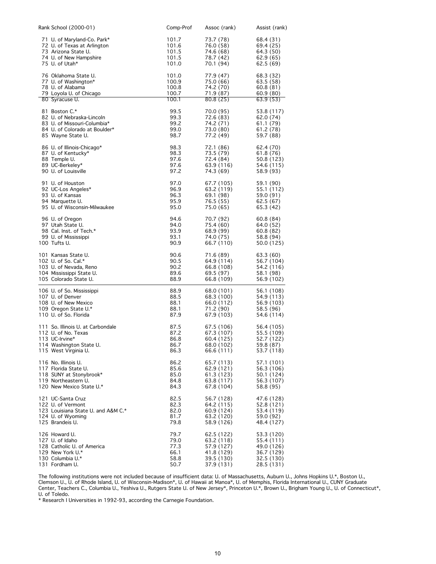| Rank School (2000-01)              | Comp-Prof | Assoc (rank) | Assist (rank) |
|------------------------------------|-----------|--------------|---------------|
| 71 U. of Maryland-Co. Park*        | 101.7     | 73.7 (78)    | 68.4 (31)     |
| 72 U. of Texas at Arlington        | 101.6     | 76.0 (58)    | 69.4 (25)     |
| 73 Arizona State U.                | 101.5     | 74.6 (68)    | 64.3 (50)     |
| 74 U. of New Hampshire             | 101.5     | 78.7 (42)    | 62.9 (65)     |
| 75 U. of Utah*                     | 101.0     | 70.1 (94)    | 62.5 (69)     |
| 76 Oklahoma State U.               | 101.0     | 77.9 (47)    | 68.3 (32)     |
| 77 U. of Washington*               | 100.9     | 75.0 (66)    | 63.5 (58)     |
| 78 U. of Alabama                   | 100.8     | 74.2 (70)    | 60.8 (81)     |
| 79 Loyola U. of Chicago            | 100.7     | 71.9 (87)    | 60.9(80)      |
| 80 Syracuse U.                     | 100.1     | 80.8 (25)    | 63.9(53)      |
| 81 Boston C.*                      | 99.5      | 70.0 (95)    | 53.8 (117)    |
| 82 U. of Nebraska-Lincoln          | 99.3      | 72.6 (83)    | 62.0 (74)     |
| 83 U. of Missouri-Columbia*        | 99.2      | 74.2 (71)    | 61.1 (79)     |
| 84 U. of Colorado at Boulder*      | 99.0      | 73.0 (80)    | 61.2 (78)     |
| 85 Wayne State U.                  | 98.7      | 77.2 (49)    | 59.7 (88)     |
| 86 U. of Illinois-Chicago*         | 98.3      | 72.1 (86)    | 62.4 (70)     |
| 87 U. of Kentucky*                 | 98.3      | 73.5 (79)    | 61.8 (76)     |
| 88 Temple U.                       | 97.6      | 72.4 (84)    | 50.8 (123)    |
| 89 UC-Berkeley*                    | 97.6      | 63.9 (116)   | 54.6 (115)    |
| 90 U. of Louisville                | 97.2      | 74.3 (69)    | 58.9 (93)     |
| 91 U. of Houston                   | 97.0      | 67.7 (105)   | 59.1 (90)     |
| 92 UC-Los Angeles*                 | 96.9      | 63.2 (119)   | 55.1 (112)    |
| 93 U. of Kansas                    | 96.3      | 69.1 (98)    | 59.0 (91)     |
| 94 Marquette U.                    | 95.9      | 76.5 (55)    | 62.5 (67)     |
| 95 U. of Wisconsin-Milwaukee       | 95.0      | 75.0 (65)    | 65.3 (42)     |
| 96 U. of Oregon                    | 94.6      | 70.7 (92)    | 60.8 (84)     |
| 97 Utah State U.                   | 94.0      | 75.4 (60)    | 64.0 (52)     |
| 98 Cal. Inst. of Tech.*            | 93.9      | 68.9 (99)    | 60.8 (82)     |
| 99 U. of Mississippi               | 93.1      | 74.0 (75)    | 58.8 (94)     |
| 100 Tufts U.                       | 90.9      | 66.7 (110)   | 50.0 (125)    |
| 101 Kansas State U.                | 90.6      | 71.6 (89)    | 63.3 (60)     |
| 102 U. of So. Cal.*                | 90.5      | 64.9 (114)   | 56.7 (104)    |
| 103 U. of Nevada, Reno             | 90.2      | 66.8 (108)   | 54.2 (116)    |
| 104 Mississippi State U.           | 89.6      | 69.5 (97)    | 58.1 (98)     |
| 105 Colorado State U.              | 88.9      | 66.8 (109)   | 56.9 (102)    |
| 106 U. of So. Mississippi          | 88.9      | 68.0 (101)   | 56.1 (108)    |
| 107 U. of Denver                   | 88.5      | 68.3 (100)   | 54.9 (113)    |
| 108 U. of New Mexico               | 88.1      | 66.0 (112)   | 56.9 (103)    |
| 109 Oregon State U.*               | 88.1      | 71.2 (90)    | 58.5 (96)     |
| 110 U. of So. Florida              | 87.9      | 67.9 (103)   | 54.6 (114)    |
| 111 So. Illinois U. at Carbondale  | 87.5      | 67.5 (106)   | 56.4 (105)    |
| 112 U. of No. Texas                | 87.2      | 67.3 (107)   | 55.5 (109)    |
| 113 UC-Irvine*                     | 86.8      | 60.4 (125)   | 52.7 (122)    |
| 114 Washington State U.            | 86.7      | 68.0 (102)   | 59.8 (87)     |
| 115 West Virginia U.               | 86.3      | 66.6 (111)   | 53.7 (118)    |
| 116 No. Illinois U.                | 86.2      | 65.7 (113)   | 57.1 (101)    |
| 117 Florida State U.               | 85.6      | 62.9 (121)   | 56.3 (106)    |
| 118 SUNY at Stonybrook*            | 85.0      | 61.3 (123)   | 50.1 (124)    |
| 119 Northeastern U.                | 84.8      | 63.8 (117)   | 56.3 (107)    |
| 120 New Mexico State U.*           | 84.3      | 67.8 (104)   | 58.8 (95)     |
| 121 UC-Santa Cruz                  | 82.5      | 56.7 (128)   | 47.6 (128)    |
| 122 U. of Vermont                  | 82.3      | 64.2 (115)   | 52.8 (121)    |
| 123 Louisiana State U. and A&M C.* | 82.0      | 60.9 (124)   | 53.4 (119)    |
| 124 U. of Wyoming                  | 81.7      | 63.2 (120)   | 59.0 (92)     |
| 125 Brandeis U.                    | 79.8      | 58.9 (126)   | 48.4 (127)    |
| 126 Howard U.                      | 79.7      | 62.5 (122)   | 53.3 (120)    |
| 127 U. of Idaho                    | 79.0      | 63.2 (118)   | 55.4 (111)    |
| 128 Catholic U. of America         | 77.3      | 57.9 (127)   | 49.0 (126)    |
| 129 New York U.*                   | 66.1      | 41.8 (129)   | 36.7 (129)    |
| 130 Columbia U.*                   | 58.8      | 39.5 (130)   | 32.5 (130)    |
| 131 Fordham U.                     | 50.7      | 37.9 (131)   | 28.5 (131)    |

The following institutions were not included because of insufficient data: U. of Massachusetts, Auburn U., Johns Hopkins U.\*, Boston U., Clemson U., U. of Rhode Island, U. of Wisconsin-Madison\*, U. of Hawaii at Manoa\*, U. of Memphis, Florida International U., CUNY Graduate Center, Teachers C., Columbia U., Yeshiva U., Rutgers State U. of New Jersey\*, Princeton U.\*, Brown U., Brigham Young U., U. of Connecticut\*, U. of Toledo.

\* Research I Universities in 1992-93, according the Carnegie Foundation.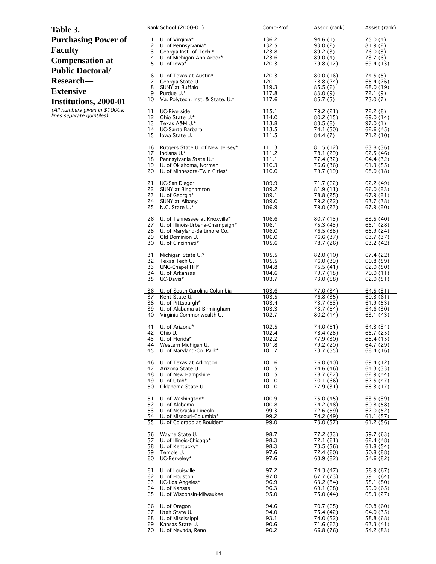| Table 3.                       | Rank School (2000-01)                                               | Comp-Prof      | Assoc (rank)           | Assist (rank)          |
|--------------------------------|---------------------------------------------------------------------|----------------|------------------------|------------------------|
| <b>Purchasing Power of</b>     | U. of Virginia*<br>1                                                | 136.2          | 94.6(1)                | 75.0 (4)               |
| <b>Faculty</b>                 | 2<br>U. of Pennsylvania*                                            | 132.5          | 93.0(2)                | 81.9(2)                |
|                                | 3<br>Georgia Inst. of Tech.*<br>4<br>U. of Michigan-Ann Arbor*      | 123.8<br>123.6 | 89.2(3)<br>89.0(4)     | 76.0(3)<br>73.7 (6)    |
| <b>Compensation at</b>         | 5<br>U. of lowa*                                                    | 120.3          | 79.8 (17)              | 69.4 (13)              |
| <b>Public Doctoral/</b>        |                                                                     |                |                        |                        |
| Research-                      | 6<br>U. of Texas at Austin*<br>7<br>Georgia State U.                | 120.3<br>120.1 | 80.0(16)<br>78.8 (24)  | 74.5(5)<br>65.4 (26)   |
|                                | 8<br>SUNY at Buffalo                                                | 119.3          | 85.5(6)                | 68.0 (19)              |
| <b>Extensive</b>               | 9<br>Purdue U.*                                                     | 117.8          | 83.0 (9)               | 72.1(9)                |
| Institutions, 2000-01          | 10<br>Va. Polytech. Inst. & State. U.*                              | 117.6          | 85.7(5)                | 73.0 (7)               |
| (All numbers given in \$1000s; | 11<br>UC-Riverside                                                  | 115.1          | 79.2 (21)              | 72.2(8)                |
| lines separate quintiles)      | 12<br>Ohio State U.*<br>13<br>Texas A&M U.*                         | 114.0<br>113.8 | 80.2 (15)<br>83.5(8)   | 69.0 (14)<br>97.0(1)   |
|                                | 14<br>UC-Santa Barbara                                              | 113.5          | 74.1 (50)              | 62.6(45)               |
|                                | 15<br>Iowa State U.                                                 | 111.5          | 84.4(7)                | 71.2 (10)              |
|                                | 16<br>Rutgers State U. of New Jersey*                               | 111.3          | 81.5(12)               | 63.8 (36)              |
|                                | 17<br>Indiana U.*                                                   | 111.2          | 78.1 (29)              | 62.5(46)               |
|                                | 18<br>Pennsylvania State U.*<br>19<br>U. of Oklahoma, Norman        | 111.1<br>110.3 | 77.4 (32)<br>76.6 (36) | 64.4 (32)<br>61.3(55)  |
|                                | 20<br>U. of Minnesota-Twin Cities*                                  | 110.0          | 79.7 (19)              | 68.0 (18)              |
|                                | 21<br>UC-San Diego*                                                 | 109.9          | 71.7 (62)              | 62.2(49)               |
|                                | 22<br>SUNY at Binghamton                                            | 109.2          | 81.9 (11)              | 66.0 (23)              |
|                                | 23<br>U. of Georgia*<br>24<br>SUNY at Albany                        | 109.1<br>109.0 | 78.8 (25)<br>79.2 (22) | 67.9(21)<br>63.7 (38)  |
|                                | 25<br>N.C. State U.*                                                | 106.9          | 79.0 (23)              | 67.9 (20)              |
|                                | 26<br>U. of Tennessee at Knoxville*                                 | 106.6          | 80.7 (13)              | 63.5(40)               |
|                                | 27<br>U. of Illinois-Urbana-Champaign*                              | 106.1          | 75.3 (43)              | 65.1(28)               |
|                                | 28<br>U. of Maryland-Baltimore Co.<br>29                            | 106.0          | 76.5 (38)              | 65.9 (24)              |
|                                | Old Dominion U.<br>30<br>U. of Cincinnati*                          | 106.0<br>105.6 | 76.6 (37)<br>78.7 (26) | 63.7 (37)<br>63.2 (42) |
|                                | 31<br>Michigan State U.*                                            | 105.5          | 82.0 (10)              | 67.4 (22)              |
|                                | 32<br>Texas Tech U.                                                 | 105.5          | 76.0 (39)              | 60.8(59)               |
|                                | 33<br>UNC-Chapel Hill*                                              | 104.8          | 75.5 (41)              | 62.0 (50)              |
|                                | 34<br>U. of Arkansas<br>35<br>UC-Davis*                             | 104.6<br>103.7 | 79.7 (18)<br>73.0 (58) | 70.0 (11)<br>62.0 (51) |
|                                | 36<br>U. of South Carolina-Columbia                                 | 103.6          | 77.0 (34)              | 64.5(31)               |
|                                | Kent State U.<br>37                                                 | 103.5          | 76.8 (35)              | 60.3(61)               |
|                                | 38<br>U. of Pittsburgh*                                             | 103.4          | 73.7 (53)              | 61.9(53)               |
|                                | 39<br>U. of Alabama at Birmingham<br>40<br>Virginia Commonwealth U. | 103.3<br>102.7 | 73.7 (54)<br>80.2(14)  | 64.6 (30)<br>63.1 (43) |
|                                |                                                                     |                |                        |                        |
|                                | 41<br>U. of Arizona*<br>42<br>Ohio U.                               | 102.5<br>102.4 | 74.0 (51)<br>78.4 (28) | 64.3 (34)<br>65.7 (25) |
|                                | 43<br>U. of Florida*                                                | 102.2          | 77.9 (30)              | 68.4 (15)              |
|                                | 44<br>Western Michigan U.<br>45                                     | 101.8          | 79.2 (20)              | 64.7 (29)              |
|                                | U. of Maryland-Co. Park*                                            | 101.7          | 73.7 (55)              | 68.4 (16)              |
|                                | 46<br>U. of Texas at Arlington<br>47<br>Arizona State U.            | 101.6<br>101.5 | 76.0 (40)<br>74.6 (46) | 69.4 (12)<br>64.3 (33) |
|                                | 48<br>U. of New Hampshire                                           | 101.5          | 78.7 (27)              | 62.9 (44)              |
|                                | 49<br>U. of Utah*                                                   | 101.0          | 70.1 (66)              | 62.5(47)               |
|                                | 50<br>Oklahoma State U.                                             | 101.0          | 77.9 (31)              | 68.3 (17)              |
|                                | 51<br>U. of Washington*                                             | 100.9          | 75.0 (45)              | 63.5 (39)              |
|                                | 52<br>U. of Alabama<br>53<br>U. of Nebraska-Lincoln                 | 100.8<br>99.3  | 74.2 (48)<br>72.6 (59) | 60.8(58)<br>62.0(52)   |
|                                | 54<br>U. of Missouri-Columbia*                                      | 99.2           | 74.2 (49)              | 61.1 (57)              |
|                                | 55<br>U. of Colorado at Boulder*                                    | 99.0           | 73.0 (57)              | 61.2(56)               |
|                                | 56<br>Wayne State U.                                                | 98.7           | 77.2 (33)              | 59.7 (63)              |
|                                | 57<br>U. of Illinois-Chicago*<br>58<br>U. of Kentucky*              | 98.3<br>98.3   | 72.1 (61)<br>73.5 (56) | 62.4 (48)              |
|                                | 59<br>Temple U.                                                     | 97.6           | 72.4 (60)              | 61.8(54)<br>50.8 (88)  |
|                                | 60<br>UC-Berkeley*                                                  | 97.6           | 63.9 (82)              | 54.6 (82)              |
|                                | U. of Louisville<br>61                                              | 97.2           | 74.3 (47)              | 58.9 (67)              |
|                                | 62<br>U. of Houston                                                 | 97.0           | 67.7 (73)              | 59.1 (64)              |
|                                | 63<br>UC-Los Angeles*<br>64<br>U. of Kansas                         | 96.9<br>96.3   | 63.2 (84)<br>69.1 (68) | 55.1 (80)<br>59.0 (65) |
|                                | 65<br>U. of Wisconsin-Milwaukee                                     | 95.0           | 75.0 (44)              | 65.3 (27)              |
|                                | 66<br>U. of Oregon                                                  | 94.6           | 70.7 (65)              | 60.8(60)               |
|                                | 67<br>Utah State U.                                                 | 94.0           | 75.4 (42)              | 64.0 (35)              |
|                                | 68<br>U. of Mississippi                                             | 93.1           | 74.0 (52)              | 58.8 (68)              |
|                                | 69<br>Kansas State U.<br>70<br>U. of Nevada, Reno                   | 90.6<br>90.2   | 71.6(63)<br>66.8 (76)  | 63.3(41)<br>54.2 (83)  |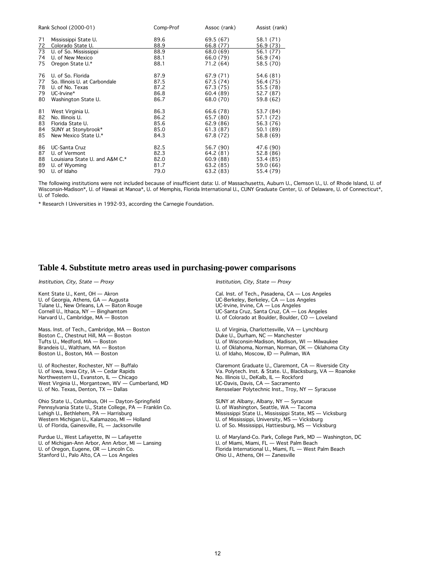|          | Rank School (2000-01)                     | Comp-Prof    | Assoc (rank)           | Assist (rank)          |
|----------|-------------------------------------------|--------------|------------------------|------------------------|
| 71<br>72 | Mississippi State U.<br>Colorado State U. | 89.6<br>88.9 | 69.5 (67)<br>66.8 (77) | 58.1 (71)<br>56.9 (73) |
| 73       | U. of So. Mississippi                     | 88.9         | 68.0 (69)              | 56.1 (77)              |
| 74       | U. of New Mexico                          | 88.1         | 66.0 (79)              | 56.9 (74)              |
| 75       | Oregon State U.*                          | 88.1         | 71.2 (64)              | 58.5 (70)              |
| 76       | U. of So. Florida                         | 87.9         | 67.9 (71)              | 54.6 (81)              |
| 77       | So. Illinois U. at Carbondale             | 87.5         | 67.5 (74)              | 56.4 (75)              |
| 78       | U. of No. Texas                           | 87.2         | 67.3 (75)              | 55.5 (78)              |
| 79       | UC-Irvine*                                | 86.8         | 60.4 (89)              | 52.7 (87)              |
| 80       | Washington State U.                       | 86.7         | 68.0 (70)              | 59.8 (62)              |
| 81       | West Virginia U.                          | 86.3         | 66.6 (78)              | 53.7 (84)              |
| 82       | No. Illinois U.                           | 86.2         | 65.7 (80)              | 57.1 (72)              |
| 83       | Florida State U.                          | 85.6         | 62.9 (86)              | 56.3 (76)              |
| 84       | SUNY at Stonybrook*                       | 85.0         | 61.3 (87)              | 50.1 (89)              |
| 85       | New Mexico State U.*                      | 84.3         | 67.8 (72)              | 58.8 (69)              |
| 86       | UC-Santa Cruz                             | 82.5         | 56.7 (90)              | 47.6 (90)              |
| 87       | U. of Vermont                             | 82.3         | 64.2 (81)              | 52.8 (86)              |
| 88       | Louisiana State U. and A&M C.*            | 82.0         | 60.9(88)               | 53.4 (85)              |
| 89       | U. of Wyoming                             | 81.7         | 63.2 (85)              | 59.0 (66)              |
| 90       | U. of Idaho                               | 79.0         | 63.2 (83)              | 55.4 (79)              |

The following institutions were not included because of insufficient data: U. of Massachusetts, Auburn U., Clemson U., U. of Rhode Island, U. of Wisconsin-Madison\*, U. of Hawaii at Manoa\*, U. of Memphis, Florida International U., CUNY Graduate Center, U. of Delaware, U. of Connecticut\*, U. of Toledo.

\* Research I Universities in 1992-93, according the Carnegie Foundation.

#### **Table 4. Substitute metro areas used in purchasing-power comparisons**

Institution, City, State — Proxy

Kent State U., Kent, OH — Akron U. of Georgia, Athens, GA — Augusta Tulane U., New Orleans, LA — Baton Rouge Cornell U., Ithaca, NY — Binghamtom Harvard U., Cambridge, MA — Boston

Mass. Inst. of Tech., Cambridge, MA — Boston Boston C., Chestnut Hill, MA — Boston Tufts U., Medford, MA — Boston Brandeis U., Waltham, MA — Boston Boston U., Boston, MA — Boston

U. of Rochester, Rochester, NY — Buffalo U. of Iowa, Iowa City, IA — Cedar Rapids Northwestern U., Evanston, IL — Chicago West Virginia U., Morgantown, WV — Cumberland, MD U. of No. Texas, Denton, TX — Dallas

Ohio State U., Columbus, OH — Dayton-Springfield Pennsylvania State U., State College, PA — Franklin Co. Lehigh U., Bethlehem, PA — Harrisburg Western Michigan U., Kalamazoo, MI — Holland U. of Florida, Gainesville, FL — Jacksonville

Purdue U., West Lafayette, IN — Lafayette U. of Michigan-Ann Arbor, Ann Arbor, MI — Lansing U. of Oregon, Eugene, OR — Lincoln Co. Stanford U., Palo Alto, CA — Los Angeles

Institution, City, State — Proxy

Cal. Inst. of Tech., Pasadena, CA — Los Angeles UC-Berkeley, Berkeley, CA — Los Angeles UC-Irvine, Irvine, CA — Los Angeles UC-Santa Cruz, Santa Cruz, CA — Los Angeles U. of Colorado at Boulder, Boulder, CO — Loveland

U. of Virginia, Charlottesville, VA — Lynchburg Duke U., Durham, NC — Manchester U. of Wisconsin-Madison, Madison, WI — Milwaukee U. of Oklahoma, Norman, Norman, OK — Oklahoma City U. of Idaho, Moscow, ID — Pullman, WA

Claremont Graduate U., Claremont, CA — Riverside City Va. Polytech. Inst. & State. U., Blacksburg, VA — Roanoke No. Illinois U., DeKalb, IL — Rockford UC-Davis, Davis, CA — Sacramento Rensselaer Polytechnic Inst., Troy, NY — Syracuse

SUNY at Albany, Albany, NY — Syracuse U. of Washington, Seattle, WA — Tacoma Mississippi State U., Mississippi State, MS — Vicksburg U. of Mississippi, University, MS — Vicksburg U. of So. Mississippi, Hattiesburg, MS — Vicksburg

U. of Maryland-Co. Park, College Park, MD — Washington, DC U. of Miami, Miami, FL — West Palm Beach Florida International U., Miami, FL — West Palm Beach Ohio U., Athens, OH — Zanesville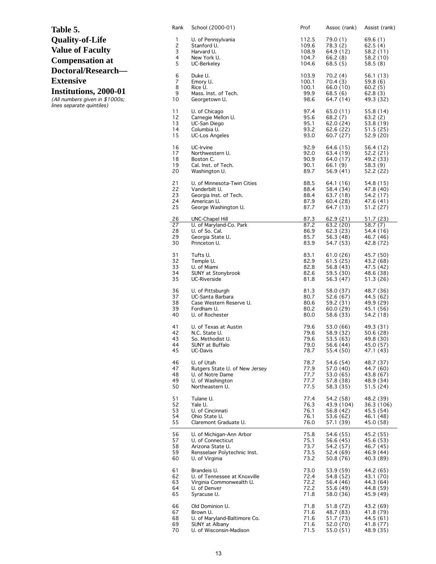| Table 5.                |
|-------------------------|
| <b>Quality-of-Life</b>  |
| <b>Value of Faculty</b> |
| <b>Compensation at</b>  |
| Doctoral/Research-      |
| <b>Extensive</b>        |
| Institutions, 2000-01   |

(All numbers given in \$1000s; lines separate quintiles)

| Rank           | School (2000-01)               | Prof  | Assoc (rank) | Assist (rank) |
|----------------|--------------------------------|-------|--------------|---------------|
| 1              | U. of Pennsylvania             | 112.5 | 79.0 (1)     | 69.6 (1)      |
| $\overline{c}$ | Stanford U.                    | 109.6 | 78.3 (2)     | 62.5 (4)      |
| 3              | Harvard U.                     | 108.9 | 64.9 (12)    | 58.2 (11)     |
| 4              | New York U.                    | 104.7 | 66.2 (8)     | 58.2 (10)     |
| 5              | UC-Berkeley                    | 104.6 | 68.5 (5)     | 58.5 (8)      |
| 6              | Duke U.                        | 103.9 | 70.2 (4)     | 56.1 (13)     |
| 7              | Emory U.                       | 100.1 | 70.4 (3)     | 59.8 (6)      |
| 8              | Rice U.                        | 100.1 | 66.0 (10)    | 60.2(5)       |
| 9              | Mass. Inst. of Tech.           | 99.9  | 68.5 (6)     | 62.8 (3)      |
| 10             | Georgetown U.                  | 98.6  | 64.7 (14)    | 49.3 (32)     |
| 11             | U. of Chicago                  | 97.4  | 65.0 (11)    | 55.8 (14)     |
| 12             | Carnegie Mellon U.             | 95.6  | 68.2 (7)     | 63.2 (2)      |
| 13             | UC-San Diego                   | 95.1  | 62.0 (24)    | 53.8 (19)     |
| 14             | Columbia U.                    | 93.2  | 62.6 (22)    | 51.5 (25)     |
| 15             | <b>UC-Los Angeles</b>          | 93.0  | 60.7 (27)    | 52.9 (20)     |
| 16             | UC-Irvine                      | 92.9  | 64.6 (15)    | 56.4 (12)     |
| 17             | Northwestern U.                | 92.0  | 63.4 (19)    | 52.2 (21)     |
| 18             | Boston C.                      | 90.9  | 64.0 (17)    | 49.2 (33)     |
| 19             | Cal. Inst. of Tech.            | 90.1  | 66.1 (9)     | 58.3 (9)      |
| 20             | Washington U.                  | 89.7  | 56.9(41)     | 52.2 (22)     |
| 21             | U. of Minnesota-Twin Cities    | 88.5  | 64.1 (16)    | 54.8 (15)     |
| 22             | Vanderbilt U.                  | 88.4  | 58.4 (34)    | 47.8 (40)     |
| 23             | Georgia Inst. of Tech.         | 88.4  | 63.7 (18)    | 54.2 (17)     |
| 24             | American U.                    | 87.9  | 60.4 (28)    | 47.6 (41)     |
| 25             | George Washington U.           | 87.7  | 64.7 (13)    | 51.2 (27)     |
| <u>26</u>      | <b>UNC-Chapel Hill</b>         | 87.3  | 62.9 (21)    | 51.7 (23)     |
| 27             | U. of Maryland-Co. Park        | 87.2  | 63.2 (20)    | 58.7 (7)      |
| 28             | U. of So. Cal.                 | 86.9  | 62.3 (23)    | 54.4 (16)     |
| 29             | Georgia State U.               | 85.7  | 56.3 (48)    | 46.7 (46)     |
| 30             | Princeton U.                   | 83.9  | 54.7 (53)    | 42.8 (72)     |
| 31             | Tufts U.                       | 83.1  | 61.0 (26)    | 45.7 (50)     |
| 32             | Temple U.                      | 82.9  | 61.5(25)     | 43.2 (68)     |
| 33             | U. of Miami                    | 82.8  | 56.8 (43)    | 47.5 (42)     |
| 34             | SUNY at Stonybrook             | 82.6  | 59.5 (30)    | 48.6 (38)     |
| 35             | UC-Riverside                   | 81.8  | 56.3 (47)    | 51.3 (26)     |
| 36             | U. of Pittsburgh               | 81.3  | 58.0 (37)    | 48.7 (36)     |
| 37             | UC-Santa Barbara               | 80.7  | 52.6 (67)    | 44.5 (62)     |
| 38             | Case Western Reserve U.        | 80.6  | 59.2 (31)    | 49.9 (29)     |
| 39             | Fordham U.                     | 80.2  | 60.0(29)     | 45.1 (56)     |
| 40             | U. of Rochester                | 80.0  | 58.6 (33)    | 54.2 (18)     |
| 41             | U. of Texas at Austin          | 79.6  | 53.0 (66)    | 49.3 (31)     |
| 42             | N.C. State U.                  | 79.6  | 58.9 (32)    | 50.6 (28)     |
| 43             | So. Methodist U.               | 79.6  | 53.5 (63)    | 49.8 (30)     |
| 44             | SUNY at Buffalo                | 79.0  | 56.6 (44)    | 45.0 (57)     |
| 45             | UC-Davis                       | 78.7  | 55.4 (50)    | 47.1 (43)     |
| 46             | U. of Utah                     | 78.7  | 54.6 (54)    | 48.7 (37)     |
| 47             | Rutgers State U. of New Jersey | 77.9  | 57.0 (40)    | 44.7 (60)     |
| 48             | U. of Notre Dame               | 77.7  | 53.0 (65)    | 43.8 (67)     |
| 49             | U. of Washington               | 77.7  | 57.8 (38)    | 48.9 (34)     |
| 50             | Northeastern U.                | 77.5  | 58.3 (35)    | 51.5(24)      |
| 51             | Tulane U.                      | 77.4  | 54.2 (58)    | 48.2 (39)     |
| 52             | Yale U.                        | 76.3  | 43.9 (104)   | 36.3 (106)    |
| 53             | U. of Cincinnati               | 76.1  | 56.8 (42)    | 45.5 (54)     |
| 54             | Ohio State U.                  | 76.1  | 53.6 (62)    | 46.1 (48)     |
| 55             | Claremont Graduate U.          | 76.0  | 57.1 (39)    | 45.0 (58)     |
| 56             | U. of Michigan-Ann Arbor       | 75.8  | 54.6 (55)    | 45.2 (55)     |
| 57             | U. of Connecticut              | 75.1  | 56.6 (45)    | 45.6 (53)     |
| 58             | Arizona State U.               | 73.7  | 54.2 (57)    | 46.7 (45)     |
| 59             | Rensselaer Polytechnic Inst.   | 73.5  | 52.4 (69)    | 46.9 (44)     |
| 60             | U. of Virginia                 | 73.2  | 50.8 (76)    | 40.3 (89)     |
| 61             | Brandeis U.                    | 73.0  | 53.9 (59)    | 44.2 (65)     |
| 62             | U. of Tennessee at Knoxville   | 72.4  | 54.8 (52)    | 43.1 (70)     |
| 63             | Virginia Commonwealth U.       | 72.2  | 56.4 (46)    | 44.3 (64)     |
| 64             | U. of Denver                   | 72.2  | 55.6 (49)    | 44.8 (59)     |
| 65             | Syracuse U.                    | 71.8  | 58.0 (36)    | 45.9 (49)     |
| 66             | Old Dominion U.                | 71.8  | 51.8 (72)    | 43.2 (69)     |
| 67             | Brown U.                       | 71.6  | 48.7 (83)    | 41.8 (79)     |
| 68             | U. of Maryland-Baltimore Co.   | 71.6  | 51.7 (73)    | 44.5 (61)     |
| 69             | SUNY at Albany                 | 71.6  | 52.0 (70)    | 41.8 (77)     |
| 70             | U. of Wisconsin-Madison        | 71.5  | 55.0 (51)    | 48.9 (35)     |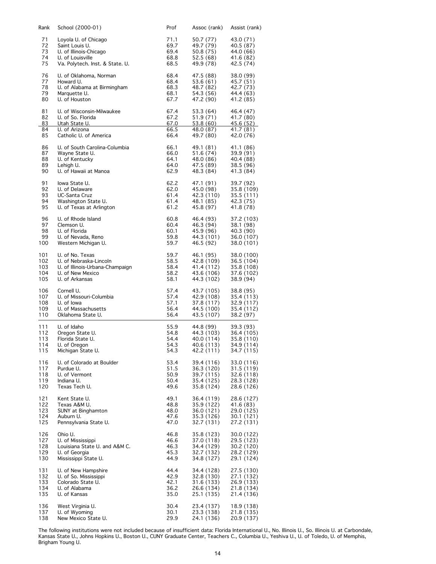| Rank     | School (2000-01)                                | Prof         | Assoc (rank)            | Assist (rank)            |
|----------|-------------------------------------------------|--------------|-------------------------|--------------------------|
| 71       | Loyola U. of Chicago                            | 71.1         | 50.7 (77)               | 43.0 (71)                |
| 72       | Saint Louis U.                                  | 69.7         | 49.7 (79)               | 40.5 (87)                |
| 73       | U. of Illinois-Chicago                          | 69.4         | 50.8 (75)               | 44.0 (66)                |
| 74       | U. of Louisville                                | 68.8         | 52.5 (68)               | 41.6 (82)                |
| 75       | Va. Polytech. Inst. & State. U.                 | 68.5         | 49.9 (78)               | 42.5 (74)                |
| 76       | U. of Oklahoma, Norman                          | 68.4         | 47.5 (88)               | 38.0 (99)                |
| 77       | Howard U.                                       | 68.4         | 53.6 (61)               | 45.7 (51)                |
| 78       | U. of Alabama at Birmingham                     | 68.3         | 48.7 (82)               | 42.7 (73)                |
| 79       | Marquette U.                                    | 68.1         | 54.3 (56)               | 44.4 (63)                |
| 80       | U. of Houston                                   | 67.7         | 47.2 (90)               | 41.2 (85)                |
| 81       | U. of Wisconsin-Milwaukee                       | 67.4         | 53.3 (64)               | 46.4 (47)                |
| 82       | U. of So. Florida                               | 67.2         | 51.9 (71)               | 41.7 (80)                |
| 83       | Utah State U.                                   | 67.0         | 53.8 (60)               | 45.6 (52)                |
| 84<br>85 | U. of Arizona<br>Catholic U. of America         | 66.5<br>66.4 | 48.0 (87)<br>49.7 (80)  | 41.7(81)<br>42.0 (76)    |
|          |                                                 |              |                         |                          |
| 86<br>87 | U. of South Carolina-Columbia<br>Wayne State U. | 66.1<br>66.0 | 49.1 (81)<br>51.6 (74)  | 41.1 (86)<br>39.9 (91)   |
| 88       | U. of Kentucky                                  | 64.1         | 48.0 (86)               | 40.4 (88)                |
| 89       | Lehigh U.                                       | 64.0         | 47.5 (89)               | 38.5 (96)                |
| 90       | U. of Hawaii at Manoa                           | 62.9         | 48.3 (84)               | 41.3 (84)                |
| 91       | lowa State U.                                   | 62.2         | 47.1 (91)               | 39.7 (92)                |
| 92       | U. of Delaware                                  | 62.0         | 45.0 (98)               | 35.8 (109)               |
| 93       | UC-Santa Cruz                                   | 61.4         | 42.3 (110)              | 35.5 (111)               |
| 94       | Washington State U.                             | 61.4         | 48.1 (85)               | 42.3 (75)                |
| 95       | U. of Texas at Arlington                        | 61.2         | 45.8 (97)               | 41.8 (78)                |
|          |                                                 |              |                         |                          |
| 96       | U. of Rhode Island                              | 60.8         | 46.4 (93)               | 37.2 (103)               |
| 97       | Clemson U.                                      | 60.4         | 46.3 (94)               | 38.1 (98)                |
| 98<br>99 | U. of Florida<br>U. of Nevada, Reno             | 60.1         | 45.9 (96)               | 40.3 (90)                |
| 100      | Western Michigan U.                             | 59.8<br>59.7 | 44.3 (101)<br>46.5 (92) | 36.0 (107)<br>38.0 (101) |
| 101      | U. of No. Texas                                 | 59.7         | 46.1 (95)               | 38.0 (100)               |
| 102      | U. of Nebraska-Lincoln                          | 58.5         | 42.8 (109)              | 36.5 (104)               |
| 103      | U. of Illinois-Urbana-Champaign                 | 58.4         | 41.4 (112)              | 35.8 (108)               |
| 104      | U. of New Mexico                                | 58.2         | 43.6 (106)              | 37.6 (102)               |
| 105      | U. of Arkansas                                  | 58.1         | 44.3 (102)              | 38.9 (94)                |
| 106      | Cornell U.                                      | 57.4         | 43.7 (105)              | 38.8 (95)                |
| 107      | U. of Missouri-Columbia                         | 57.4         | 42.9 (108)              | 35.4 (113)               |
| 108      | U. of lowa                                      | 57.1         | 37.8 (117)              | 32.9 (117)               |
| 109      | U. of Massachusetts                             | 56.4         | 44.5 (100)              | 35.4 (112)               |
| 110      | Oklahoma State U.                               | 56.4         | 43.5 (107)              | 38.2 (97)                |
| 111      | U. of Idaho                                     | 55.9         | 44.8 (99)               | 39.3 (93)                |
| 112      | Oregon State U.                                 | 54.8         | 44.3 (103)              | 36.4 (105)               |
| 113      | Florida State U.                                | 54.4         | 40.0 (114)              | 35.8 (110)               |
| 114      | U. of Oregon                                    | 54.3         | 40.6 (113)              | 34.9 (114)               |
| 115      | Michigan State U.                               | 54.3         | 42.2 (111)              | 34.7 (115)               |
| 116      | U. of Colorado at Boulder                       | 53.4         | 39.4 (116)              | 33.0 (116)               |
| 117      | Purdue U.                                       | 51.5         | 36.3 (120)              | 31.5 (119)               |
| 118      | U. of Vermont                                   | 50.9         | 39.7 (115)              | 32.6 (118)               |
| 119      | Indiana U.                                      | 50.4         | 35.4 (125)              | 28.3 (128)               |
| 120      | Texas Tech U.                                   | 49.6         | 35.8 (124)              | 28.6 (126)               |
| 121      | Kent State U.                                   | 49.1         | 36.4 (119)              | 28.6 (127)               |
| 122      | Texas A&M U.                                    | 48.8         | 35.9 (122)              | 41.6 (83)                |
| 123      | SUNY at Binghamton                              | 48.0         | 36.0 (121)              | 29.0 (125)               |
| 124      | Auburn U.                                       | 47.6         | 35.3 (126)              | 30.1 (121)               |
| 125      | Pennsylvania State U.                           | 47.0         | 32.7 (131)              | 27.2 (131)               |
| 126      | Ohio U.                                         | 46.8         | 35.8 (123)              | 30.0 (122)               |
| 127      | U. of Mississippi                               | 46.6         | 37.0 (118)              | 29.5 (123)               |
| 128      | Louisiana State U. and A&M C.                   | 46.3         | 34.4 (129)              | 30.2 (120)               |
| 129      | U. of Georgia                                   | 45.3         | 32.7 (132)              | 28.2 (129)               |
| 130      | Mississippi State U.                            | 44.9         | 34.8 (127)              | 29.1 (124)               |
| 131      | U. of New Hampshire                             | 44.4         | 34.4 (128)              | 27.5 (130)               |
| 132      | U. of So. Mississippi                           | 42.9         | 32.8 (130)              | 27.1 (132)               |
| 133      | Colorado State U.                               | 42.1         | 31.6 (133)              | 26.9 (133)               |
| 134      | U. of Alabama                                   | 36.2         | 26.6 (134)              | 21.8 (134)               |
| 135      | U. of Kansas                                    | 35.0         | 25.1 (135)              | 21.4 (136)               |
| 136      | West Virginia U.                                | 30.4         | 23.4 (137)              | 18.9 (138)               |
| 137      | U. of Wyoming                                   | 30.1         | 23.3 (138)              | 21.8 (135)               |
| 138      | New Mexico State U.                             | 29.9         | 24.1 (136)              | 20.9 (137)               |

The following institutions were not included because of insufficient data: Florida International U., No. Illinois U., So. Illinois U. at Carbondale, Kansas State U., Johns Hopkins U., Boston U., CUNY Graduate Center, Teachers C., Columbia U., Yeshiva U., U. of Toledo, U. of Memphis, Brigham Young U.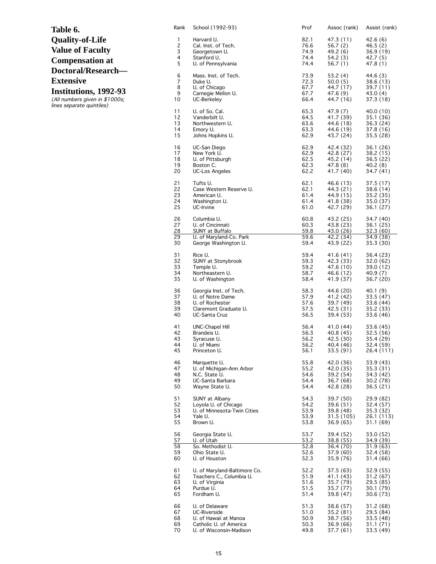| Table 6.                  |
|---------------------------|
| <b>Quality-of-Life</b>    |
| <b>Value of Faculty</b>   |
| <b>Compensation at</b>    |
| <b>Doctoral/Research-</b> |
| <b>Extensive</b>          |
| Institutions, 1992-93     |

(All numbers given in \$1000s; lines separate quintiles)

| Rank                 | School (1992-93)                                          | Prof                 | Assoc (rank)                        | Assist (rank)                       |
|----------------------|-----------------------------------------------------------|----------------------|-------------------------------------|-------------------------------------|
| 1                    | Harvard U.                                                | 82.1                 | 47.3 (11)                           | 42.6 (6)                            |
| 2                    | Cal. Inst. of Tech.                                       | 76.6                 | 56.7(2)                             | 46.5 (2)                            |
| 3                    | Georgetown U.                                             | 74.9                 | 49.2 (6)                            | 36.9 (19)                           |
| 4                    | Stanford U.                                               | 74.4                 | 54.2(3)                             | 42.7 (5)                            |
| 5                    | U. of Pennsylvania                                        | 74.4                 | 56.7 (1)                            | 47.8 (1)                            |
| 6                    | Mass. Inst. of Tech.                                      | 73.9                 | 53.2 (4)                            | 44.6 (3)                            |
| 7                    | Duke U.                                                   | 72.3                 | 50.0(5)                             | 38.6 (13)                           |
| 8                    | U. of Chicago                                             | 67.7                 | 44.7 (17)                           | 39.7 (11)                           |
| 9                    | Carnegie Mellon U.                                        | 67.7                 | 47.6 (9)                            | 43.0 (4)                            |
| 10                   | UC-Berkeley                                               | 66.4                 | 44.7 (16)                           | 37.3 (18)                           |
| 11                   | U. of So. Cal.                                            | 65.3                 | 47.9 (7)                            | 40.0 (10)                           |
| 12                   | Vanderbilt U.                                             | 64.5                 | 41.7 (39)                           | 35.1 (36)                           |
| 13                   | Northwestern U.                                           | 63.6                 | 44.6 (18)                           | 36.3 (24)                           |
| 14                   | Emory U.                                                  | 63.3                 | 44.6 (19)                           | 37.8 (16)                           |
| 15                   | Johns Hopkins U.                                          | 62.9                 | 43.7 (24)                           | 35.5 (28)                           |
| 16                   | UC-San Diego                                              | 62.9                 | 42.4 (32)                           | 36.1 (26)                           |
| 17                   | New York U.                                               | 62.9                 | 42.8 (27)                           | 38.2 (15)                           |
| 18                   | U. of Pittsburgh                                          | 62.5                 | 45.2 (14)                           | 36.5 (22)                           |
| 19                   | Boston C.                                                 | 62.3                 | 47.8 (8)                            | 40.2 (8)                            |
| 20                   | <b>UC-Los Angeles</b>                                     | 62.2                 | 41.7 (40)                           | 34.7 (41)                           |
| 21                   | Tufts U.                                                  | 62.1                 | 46.6 (13)                           | 37.5 (17)                           |
| 22                   | Case Western Reserve U.                                   | 62.1                 | 44.3 (21)                           | 38.6 (14)                           |
| 23                   | American U.                                               | 61.4                 | 44.9 (15)                           | 35.2 (35)                           |
| 24                   | Washington U.                                             | 61.4                 | 41.8 (38)                           | 35.0 (37)                           |
| 25                   | UC-Irvine                                                 | 61.0                 | 42.7 (29)                           | 36.1 (27)                           |
| 26<br>27<br>28<br>29 | Columbia U.<br>U. of Cincinnati<br><b>SUNY at Buffalo</b> | 60.8<br>60.3<br>59.8 | 43.2 (25)<br>43.8 (23)<br>43.0 (26) | 34.7 (40)<br>36.1 (25)<br>32.3 (60) |
| 30                   | U. of Maryland-Co. Park                                   | 59.6                 | 42.2 (34)                           | 34.9 (38)                           |
|                      | George Washington U.                                      | 59.4                 | 43.9 (22)                           | 35.3 (30)                           |
| 31                   | Rice U.                                                   | 59.4                 | 41.6 (41)                           | 36.4 (23)                           |
| 32                   | SUNY at Stonybrook                                        | 59.3                 | 42.3 (33)                           | 32.0 (62)                           |
| 33                   | Temple U.                                                 | 59.2                 | 47.6 (10)                           | 39.0 (12)                           |
| 34                   | Northeastern U.                                           | 58.7                 | 46.6 (12)                           | 40.9 (7)                            |
| 35                   | U. of Washington                                          | 58.4                 | 41.9 (37)                           | 36.7 (20)                           |
| 36                   | Georgia Inst. of Tech.                                    | 58.3                 | 44.6 (20)                           | 40.1 (9)                            |
| 37                   | U. of Notre Dame                                          | 57.9                 | 41.2 (42)                           | 33.5 (47)                           |
| 38                   | U. of Rochester                                           | 57.6                 | 39.7 (49)                           | 33.6 (44)                           |
| 39                   | Claremont Graduate U.                                     | 57.5                 | 42.5 (31)                           | 35.2 (33)                           |
| 40                   | UC-Santa Cruz                                             | 56.5                 | 39.4 (53)                           | 33.6 (46)                           |
| 41                   | UNC-Chapel Hill                                           | 56.4                 | 41.0 (44)                           | 33.6 (45)                           |
| 42                   | Brandeis U.                                               | 56.3                 | 40.8 (45)                           | 32.5 (56)                           |
| 43                   | Syracuse U.                                               | 56.2                 | 42.5 (30)                           | 35.4 (29)                           |
| 44                   | U. of Miami                                               | 56.2                 | 40.4 (46)                           | 32.4 (59)                           |
| 45                   | Princeton U.                                              | 56.1                 | 33.5 (91)                           | 26.4 (111)                          |
| 46                   | Marquette U.                                              | 55.8                 | 42.0 (36)                           | 33.9 (43)                           |
| 47                   | U. of Michigan-Ann Arbor                                  | 55.2                 | 42.0 (35)                           | 35.3 (31)                           |
| 48                   | N.C. State U.                                             | 54.6                 | 39.2 (54)                           | 34.3 (42)                           |
| 49                   | UC-Santa Barbara                                          | 54.4                 | 36.7 (68)                           | 30.2 (78)                           |
| 50                   | Wayne State U.                                            | 54.4                 | 42.8 (28)                           | 36.5(21)                            |
| 51                   | SUNY at Albany                                            | 54.3                 | 39.7 (50)                           | 29.9 (82)                           |
| 52                   | Loyola U. of Chicago                                      | 54.2                 | 39.6 (51)                           | 32.4 (57)                           |
| 53                   | U. of Minnesota-Twin Cities                               | 53.9                 | 39.8 (48)                           | 35.3 (32)                           |
| 54                   | Yale U.                                                   | 53.9                 | 31.5 (105)                          | 26.1 (113)                          |
| 55                   | Brown U.                                                  | 53.8                 | 36.9 (65)                           | 31.1 (69)                           |
| 56                   | Georgia State U.                                          | 53.7                 | 39.4 (52)                           | 33.0 (52)                           |
| 57                   | U. of Utah                                                | 53.2                 | 38.8 (55)                           | 34.9 (39)                           |
| 58                   | So. Methodist U.                                          | 52.8                 | 36.4 (70)                           | 31.9(63)                            |
| 59                   | Ohio State U.                                             | 52.6                 | 37.9 (60)                           | 32.4 (58)                           |
| 60                   | U. of Houston                                             | 52.3                 | 35.9 (76)                           | 31.4 (66)                           |
| 61                   | U. of Maryland-Baltimore Co.                              | 52.2                 | 37.5 (63)                           | 32.9 (55)                           |
| 62                   | Teachers C., Columbia U.                                  | 51.9                 | 41.1 (43)                           | 31.2(67)                            |
| 63                   | U. of Virginia                                            | 51.6                 | 35.7 (79)                           | 29.5 (85)                           |
| 64                   | Purdue U.                                                 | 51.5                 | 35.7 (77)                           | 30.1 (79)                           |
| 65                   | Fordham U.                                                | 51.4                 | 39.8 (47)                           | 30.6 (73)                           |
| 66                   | U. of Delaware                                            | 51.3                 | 38.6 (57)                           | 31.2 (68)                           |
| 67                   | UC-Riverside                                              | 51.0                 | 35.2 (81)                           | 29.5 (84)                           |
| 68                   | U. of Hawaii at Manoa                                     | 50.9                 | 38.7 (56)                           | 33.5 (48)                           |
| 69                   | Catholic U. of America                                    | 50.3                 | 36.9 (66)                           | 31.1 (71)                           |
| 70                   | U. of Wisconsin-Madison                                   | 49.8                 | 37.7 (61)                           | 33.5 (49)                           |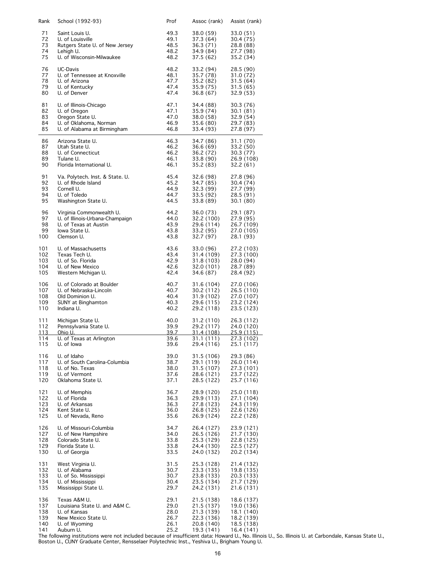| Rank         | School (1992-93)                | Prof        | Assoc (rank) | Assist (rank) |
|--------------|---------------------------------|-------------|--------------|---------------|
| 71           | Saint Louis U.                  | 49.3        | 38.0 (59)    | 33.0 (51)     |
| 72           | U. of Louisville                | 49.1        | 37.3 (64)    | 30.4 (75)     |
| 73           | Rutgers State U. of New Jersey  | 48.5        | 36.3 (71)    | 28.8 (88)     |
| 74           | Lehigh U.                       | 48.2        | 34.9 (84)    | 27.7 (98)     |
| 75           | U. of Wisconsin-Milwaukee       | 48.2        | 37.5 (62)    | 35.2 (34)     |
| 76           | UC-Davis                        | 48.2        | 33.2 (94)    | 28.5 (90)     |
| 77           | U. of Tennessee at Knoxville    | 48.1        | 35.7 (78)    | 31.0 (72)     |
| 78           | U. of Arizona                   | 47.7        | 35.2(82)     | 31.5(64)      |
| 79           | U. of Kentucky                  | 47.4        | 35.9 (75)    | 31.5 (65)     |
| 80           | U. of Denver                    | 47.4        | 36.8(67)     | 32.9 (53)     |
| 81           | U. of Illinois-Chicago          | 47.1        | 34.4 (88)    | 30.3 (76)     |
| 82           | U. of Oregon                    | 47.1        | 35.9 (74)    | 30.1(81)      |
| 83           | Oregon State U.                 | 47.0        | 38.0 (58)    | 32.9(54)      |
| 84           | U. of Oklahoma, Norman          | 46.9        | 35.6 (80)    | 29.7 (83)     |
| 85           | U. of Alabama at Birmingham     | 46.8        | 33.4 (93)    | 27.8 (97)     |
| 86           | Arizona State U.                | 46.3        | 34.7 (86)    | 31.1 (70)     |
| 87           | Utah State U.                   | 46.2        | 36.6 (69)    | 33.2 (50)     |
| 88           | U. of Connecticut               | 46.2        | 36.2 (72)    | 30.3 (77)     |
| 89           | Tulane U.                       | 46.1        | 33.8 (90)    | 26.9 (108)    |
| 90           | Florida International U.        | 46.1        | 35.2 (83)    | 32.2 (61)     |
| 91           | Va. Polytech. Inst. & State. U. | 45.4        | 32.6 (98)    | 27.8 (96)     |
| 92           | U. of Rhode Island              | 45.2        | 34.7 (85)    | 30.4 (74)     |
| 93           | Cornell U.                      | 44.9        | 32.3 (99)    | 27.7 (99)     |
| 94           | U. of Toledo                    | 44.7        | 33.5 (92)    | 28.5 (91)     |
| 95           | Washington State U.             | 44.5        | 33.8 (89)    | 30.1(80)      |
| 96           | Virginia Commonwealth U.        | 44.2        | 36.0 (73)    | 29.1 (87)     |
| 97           | U. of Illinois-Urbana-Champaign | 44.0        | 32.2 (100)   | 27.9 (95)     |
| 98           | U. of Texas at Austin           | 43.9        | 29.6 (114)   | 26.7 (109)    |
| 99           | lowa State U.                   | 43.8        | 33.2 (95)    | 27.0 (105)    |
| 100          | Clemson U.                      | 43.8        | 32.7 (97)    | 28.1 (93)     |
| 101          | U. of Massachusetts             | 43.6        | 33.0 (96)    | 27.2 (103)    |
| 102          | Texas Tech U.                   | 43.4        | 31.4 (109)   | 27.3 (100)    |
| 103          | U. of So. Florida               | 42.9        | 31.8 (103)   | 28.0 (94)     |
| 104          | U. of New Mexico                | 42.6        | 32.0 (101)   | 28.7 (89)     |
| 105          | Western Michigan U.             | 42.4        | 34.6 (87)    | 28.4 (92)     |
| 106          | U. of Colorado at Boulder       | 40.7        | 31.6 (104)   | 27.0 (106)    |
| 107          | U. of Nebraska-Lincoln          | 40.7        | 30.2 (112)   | 26.5 (110)    |
| 108          | Old Dominion U.                 | 40.4        | 31.9 (102)   | 27.0 (107)    |
| 109          | <b>SUNY at Binghamton</b>       | 40.3        | 29.6 (115)   | 23.2 (124)    |
| 110          | Indiana U.                      | 40.2        | 29.2 (118)   | 23.5 (123)    |
| 111          | Michigan State U.               | 40.0        | 31.2 (110)   | 26.3 (112)    |
| 112          | Pennsylvania State U.           | 39.9        | 29.2 (117)   | 24.0 (120)    |
| <u> 113 </u> | <u>Ohio U.</u>                  | <u>39.7</u> | 31.4 (108)   | 25.9 (115)    |
| 114          | U. of Texas at Arlington        | 39.6        | 31.1 (111)   | 27.3 (102)    |
| 115          | U. of lowa                      | 39.6        | 29.4 (116)   | 25.1 (117)    |
| 116          | U. of Idaho                     | 39.0        | 31.5 (106)   | 29.3 (86)     |
| 117          | U. of South Carolina-Columbia   | 38.7        | 29.1 (119)   | 26.0 (114)    |
| 118          | U. of No. Texas                 | 38.0        | 31.5 (107)   | 27.3 (101)    |
| 119          | U. of Vermont                   | 37.6        | 28.6 (121)   | 23.7 (122)    |
| 120          | Oklahoma State U.               | 37.1        | 28.5 (122)   | 25.7 (116)    |
| 121          | U. of Memphis                   | 36.7        | 28.9 (120)   | 25.0 (118)    |
| 122          | U. of Florida                   | 36.3        | 29.9 (113)   | 27.1 (104)    |
| 123          | U. of Arkansas                  | 36.3        | 27.8 (123)   | 24.3 (119)    |
| 124          | Kent State U.                   | 36.0        | 26.8 (125)   | 22.6 (126)    |
| 125          | U. of Nevada, Reno              | 35.6        | 26.9 (124)   | 22.2 (128)    |
| 126          | U. of Missouri-Columbia         | 34.7        | 26.4 (127)   | 23.9 (121)    |
| 127          | U. of New Hampshire             | 34.0        | 26.5 (126)   | 21.7 (130)    |
| 128          | Colorado State U.               | 33.8        | 25.3 (129)   | 22.8 (125)    |
| 129          | Florida State U.                | 33.8        | 24.4 (130)   | 22.5 (127)    |
| 130          | U. of Georgia                   | 33.5        | 24.0 (132)   | 20.2 (134)    |
| 131          | West Virginia U.                | 31.5        | 25.3 (128)   | 21.4 (132)    |
| 132          | U. of Alabama                   | 30.7        | 23.3 (135)   | 19.8 (135)    |
| 133          | U. of So. Mississippi           | 30.7        | 23.8 (133)   | 20.3 (133)    |
| 134          | U. of Mississippi               | 30.4        | 23.5 (134)   | 21.7 (129)    |
| 135          | Mississippi State U.            | 29.7        | 24.2 (131)   | 21.6 (131)    |
| 136          | Texas A&M U.                    | 29.1        | 21.5 (138)   | 18.6 (137)    |
| 137          | Louisiana State U. and A&M C.   | 29.0        | 21.5 (137)   | 19.0 (136)    |
| 138          | U. of Kansas                    | 28.0        | 21.3 (139)   | 18.1 (140)    |
| 139          | New Mexico State U.             | 26.7        | 22.3 (136)   | 18.2 (139)    |
| 140          | U. of Wyoming                   | 26.1        | 20.8 (140)   | 18.5 (138)    |
| 141          | Auburn U.                       | 25.2        | 19.3 (141)   | 16.4 (141)    |

The following institutions were not included because of insufficient data: Howard U., No. Illinois U., So. Illinois U. at Carbondale, Kansas State U., Boston U., CUNY Graduate Center, Rensselaer Polytechnic Inst., Yeshiva U., Brigham Young U.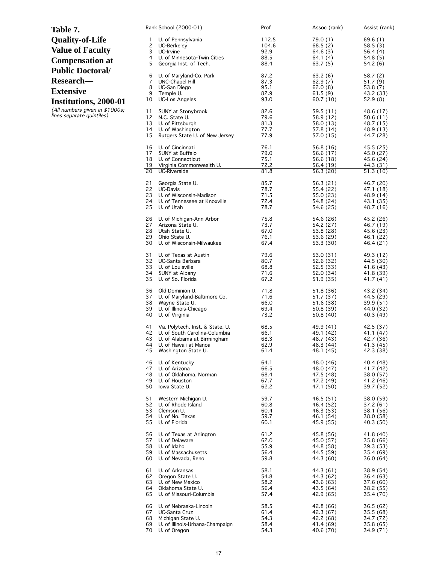| Table 7.                                                    |          | Rank School (2000-01)                                | Prof         | Assoc (rank)           | Assist (rank)          |
|-------------------------------------------------------------|----------|------------------------------------------------------|--------------|------------------------|------------------------|
| <b>Quality-of-Life</b>                                      | 1        | U. of Pennsylvania                                   | 112.5        | 79.0(1)                | 69.6(1)                |
| <b>Value of Faculty</b>                                     | 2        | UC-Berkeley                                          | 104.6        | 68.5(2)                | 58.5(3)                |
|                                                             | 3<br>4   | UC-Irvine<br>U. of Minnesota-Twin Cities             | 92.9<br>88.5 | 64.6(3)<br>64.1(4)     | 56.4(4)<br>54.8 (5)    |
| <b>Compensation at</b>                                      | 5        | Georgia Inst. of Tech.                               | 88.4         | 63.7(5)                | 54.2 (6)               |
| <b>Public Doctoral/</b>                                     |          |                                                      |              |                        |                        |
| Research-                                                   | 6<br>7   | U. of Maryland-Co. Park<br>UNC-Chapel Hill           | 87.2<br>87.3 | 63.2(6)<br>62.9(7)     | 58.7(2)<br>51.7(9)     |
| <b>Extensive</b>                                            | 8        | UC-San Diego                                         | 95.1         | 62.0(8)                | 53.8(7)                |
|                                                             | 9        | Temple U.                                            | 82.9         | 61.5(9)                | 43.2 (33)              |
| Institutions, 2000-01                                       | 10       | <b>UC-Los Angeles</b>                                | 93.0         | 60.7(10)               | 52.9(8)                |
| (All numbers given in \$1000s;<br>lines separate quintiles) | 11       | SUNY at Stonybrook                                   | 82.6         | 59.5 (11)              | 48.6 (17)              |
|                                                             | 12<br>13 | N.C. State U.<br>U. of Pittsburgh                    | 79.6<br>81.3 | 58.9 (12)<br>58.0 (13) | 50.6(11)<br>48.7 (15)  |
|                                                             | 14       | U. of Washington                                     | 77.7         | 57.8 (14)              | 48.9 (13)              |
|                                                             | 15       | Rutgers State U. of New Jersey                       | 77.9         | 57.0 (15)              | 44.7 (28)              |
|                                                             | 16       | U. of Cincinnati                                     | 76.1         | 56.8 (16)              | 45.5 (25)              |
|                                                             | 17       | SUNY at Buffalo                                      | 79.0         | 56.6 (17)              | 45.0 (27)              |
|                                                             | 18<br>19 | U. of Connecticut<br>Virginia Commonwealth U.        | 75.1<br>72.2 | 56.6 (18)<br>56.4 (19) | 45.6 (24)<br>44.3 (31) |
|                                                             | 20       | <b>UC-Riverside</b>                                  | 81.8         | 56.3 (20)              | 51.3 (10)              |
|                                                             |          |                                                      |              |                        |                        |
|                                                             | 21<br>22 | Georgia State U.<br>UC-Davis                         | 85.7<br>78.7 | 56.3 (21)<br>55.4 (22) | 46.7 (20)<br>47.1 (18) |
|                                                             | 23       | U. of Wisconsin-Madison                              | 71.5         | 55.0 (23)              | 48.9 (14)              |
|                                                             | 24       | U. of Tennessee at Knoxville                         | 72.4         | 54.8 (24)              | 43.1 (35)              |
|                                                             | 25       | U. of Utah                                           | 78.7         | 54.6 (25)              | 48.7 (16)              |
|                                                             | 26       | U. of Michigan-Ann Arbor                             | 75.8         | 54.6 (26)              | 45.2 (26)              |
|                                                             | 27       | Arizona State U.                                     | 73.7         | 54.2 (27)              | 46.7 (19)              |
|                                                             | 28<br>29 | Utah State U.<br>Ohio State U.                       | 67.0<br>76.1 | 53.8 (28)<br>53.6 (29) | 45.6 (23)<br>46.1 (22) |
|                                                             | 30       | U. of Wisconsin-Milwaukee                            | 67.4         | 53.3 (30)              | 46.4 (21)              |
|                                                             | 31       | U. of Texas at Austin                                | 79.6         | 53.0 (31)              | 49.3 (12)              |
|                                                             | 32       | UC-Santa Barbara                                     | 80.7         | 52.6 (32)              | 44.5 (30)              |
|                                                             | 33       | U. of Louisville                                     | 68.8         | 52.5 (33)              | 41.6(43)               |
|                                                             | 34<br>35 | SUNY at Albany<br>U. of So. Florida                  | 71.6<br>67.2 | 52.0 (34)<br>51.9 (35) | 41.8 (39)<br>41.7 (41) |
|                                                             |          |                                                      |              |                        |                        |
|                                                             | 36       | Old Dominion U.                                      | 71.8         | 51.8 (36)              | 43.2 (34)              |
|                                                             | 37<br>38 | U. of Maryland-Baltimore Co.<br>Wayne State U.       | 71.6<br>66.0 | 51.7 (37)<br>51.6(38)  | 44.5 (29)<br>39.9 (51) |
|                                                             | 39       | U. of Illinois-Chicago                               | 69.4         | 50.8 (39)              | 44.0 (32)              |
|                                                             | 40       | U. of Virginia                                       | 73.2         | 50.8(40)               | 40.3 (49)              |
|                                                             | 41       | Va. Polytech. Inst. & State. U.                      | 68.5         | 49.9 (41)              | 42.5 (37)              |
|                                                             | 42       | U. of South Carolina-Columbia                        | 66.1         | 49.1 (42)              | 41.1 (47)              |
|                                                             | 43<br>44 | U. of Alabama at Birmingham<br>U. of Hawall at Manoa | 68.3<br>62.9 | 48.7 (43)<br>48.3 (44) | 42.7 (36)<br>41.3 (45) |
|                                                             | 45       | Washington State U.                                  | 61.4         | 48.1 (45)              | 42.3 (38)              |
|                                                             | 46       | U. of Kentucky                                       | 64.1         | 48.0 (46)              | 40.4 (48)              |
|                                                             | 47       | U. of Arizona                                        | 66.5         | 48.0 (47)              | 41.7 (42)              |
|                                                             | 48       | U. of Oklahoma, Norman                               | 68.4         | 47.5 (48)              | 38.0 (57)              |
|                                                             | 49<br>50 | U. of Houston<br>lowa State U.                       | 67.7<br>62.2 | 47.2 (49)<br>47.1 (50) | 41.2 (46)<br>39.7 (52) |
|                                                             |          |                                                      |              |                        |                        |
|                                                             | 51<br>52 | Western Michigan U.<br>U. of Rhode Island            | 59.7<br>60.8 | 46.5 (51)<br>46.4 (52) | 38.0 (59)<br>37.2 (61) |
|                                                             | 53       | Clemson U.                                           | 60.4         | 46.3 (53)              | 38.1 (56)              |
|                                                             | 54       | U. of No. Texas                                      | 59.7         | 46.1 (54)              | 38.0 (58)              |
|                                                             | 55       | U. of Florida                                        | 60.1         | 45.9 (55)              | 40.3 (50)              |
|                                                             | 56       | U. of Texas at Arlington                             | 61.2         | 45.8 (56)              | 41.8 (40)              |
|                                                             | 57       | U. of Delaware                                       | 62.0         | 45.0 (57)              | 35.8 (66)              |
|                                                             | 58<br>59 | U. of Idaho<br>U. of Massachusetts                   | 55.9<br>56.4 | 44.8 (58)<br>44.5 (59) | 39.3 (53)<br>35.4 (69) |
|                                                             | 60       | U. of Nevada, Reno                                   | 59.8         | 44.3 (60)              | 36.0 (64)              |
|                                                             | 61       | U. of Arkansas                                       | 58.1         | 44.3 (61)              | 38.9 (54)              |
|                                                             | 62       | Oregon State U.                                      | 54.8         | 44.3 (62)              | 36.4 (63)              |
|                                                             | 63       | U. of New Mexico                                     | 58.2         | 43.6 (63)              | 37.6 (60)              |
|                                                             | 64<br>65 | Oklahoma State U.<br>U. of Missouri-Columbia         | 56.4<br>57.4 | 43.5 (64)<br>42.9 (65) | 38.2 (55)<br>35.4 (70) |
|                                                             |          |                                                      |              |                        |                        |
|                                                             | 66<br>67 | U. of Nebraska-Lincoln<br>UC-Santa Cruz              | 58.5<br>61.4 | 42.8 (66)              | 36.5(62)               |
|                                                             | 68       | Michigan State U.                                    | 54.3         | 42.3 (67)<br>42.2 (68) | 35.5(68)<br>34.7 (72)  |
|                                                             | 69       | U. of Illinois-Urbana-Champaign                      | 58.4         | 41.4 (69)              | 35.8(65)               |
|                                                             | 70       | U. of Oregon                                         | 54.3         | 40.6 (70)              | 34.9 (71)              |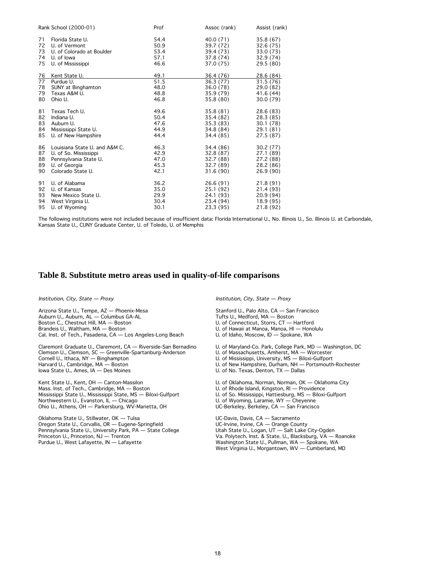|    | Rank School (2000-01)         | Prof | Assoc (rank) | Assist (rank) |
|----|-------------------------------|------|--------------|---------------|
| 71 | Florida State U.              | 54.4 | 40.0 (71)    | 35.8 (67)     |
| 72 | U. of Vermont                 | 50.9 | 39.7 (72)    | 32.6 (75)     |
| 73 | U. of Colorado at Boulder     | 53.4 | 39.4 (73)    | 33.0 (73)     |
| 74 | U. of lowa                    | 57.1 | 37.8 (74)    | 32.9 (74)     |
| 75 | U. of Mississippi             | 46.6 | 37.0 (75)    | 29.5(80)      |
| 76 | Kent State U.                 | 49.1 | 36.4 (76)    | 28.6 (84)     |
| 77 | Purdue U.                     | 51.5 | 36.3 (77)    | 31.5 (76)     |
| 78 | SUNY at Binghamton            | 48.0 | 36.0 (78)    | 29.0 (82)     |
| 79 | Texas A&M U.                  | 48.8 | 35.9 (79)    | 41.6 (44)     |
| 80 | Ohio U.                       | 46.8 | 35.8 (80)    | 30.0 (79)     |
| 81 | Texas Tech U.                 | 49.6 | 35.8(81)     | 28.6 (83)     |
| 82 | Indiana U.                    | 50.4 | 35.4 (82)    | 28.3 (85)     |
| 83 | Auburn U.                     | 47.6 | 35.3(83)     | 30.1 (78)     |
| 84 | Mississippi State U.          | 44.9 | 34.8 (84)    | 29.1 (81)     |
| 85 | U. of New Hampshire           | 44.4 | 34.4 (85)    | 27.5 (87)     |
| 86 | Louisiana State U. and A&M C. | 46.3 | 34.4 (86)    | 30.2(77)      |
| 87 | U. of So. Mississippi         | 42.9 | 32.8(87)     | 27.1 (89)     |
| 88 | Pennsylvania State U.         | 47.0 | 32.7 (88)    | 27.2 (88)     |
| 89 | U. of Georgia                 | 45.3 | 32.7 (89)    | 28.2 (86)     |
| 90 | Colorado State U.             | 42.1 | 31.6(90)     | 26.9 (90)     |
| 91 | U. of Alabama                 | 36.2 | 26.6(91)     | 21.8(91)      |
| 92 | U. of Kansas                  | 35.0 | 25.1 (92)    | 21.4 (93)     |
| 93 | New Mexico State U.           | 29.9 | 24.1 (93)    | 20.9 (94)     |
| 94 | West Virginia U.              | 30.4 | 23.4 (94)    | 18.9 (95)     |
| 95 | U. of Wyoming                 | 30.1 | 23.3 (95)    | 21.8 (92)     |

The following institutions were not included because of insufficient data: Florida International U., No. Illinois U., So. Illinois U. at Carbondale, Kansas State U., CUNY Graduate Center, U. of Toledo, U. of Memphis

#### **Table 8. Substitute metro areas used in quality-of-life comparisons**

Institution, City, State — Proxy

Arizona State U., Tempe, AZ — Phoenix-Mesa Auburn U., Auburn, AL — Columbus GA-AL Boston C., Chestnut Hill, MA — Boston Brandeis U., Waltham, MA — Boston Cal. Inst. of Tech., Pasadena, CA — Los Angeles-Long Beach

Claremont Graduate U., Claremont, CA — Riverside-San Bernadino Clemson U., Clemson, SC — Greenville-Spartanburg-Anderson Cornell U., Ithaca, NY — Binghampton Harvard U., Cambridge, MA — Boston Iowa State U., Ames, IA — Des Moines

Kent State U., Kent, OH — Canton-Massilon Mass. Inst. of Tech., Cambridge, MA — Boston Mississippi State U., Mississippi State, MS — Biloxi-Gulfport Northwestern U., Evanston, IL — Chicago Ohio U., Athens, OH — Parkersburg, WV-Marietta, OH

Oklahoma State U., Stillwater, OK — Tulsa Oregon State U., Corvallis, OR — Eugene-Springfield Pennsylvania State U., University Park, PA — State College Princeton U., Princeton, NJ — Trenton Purdue U., West Lafayette, IN — Lafayette

Institution, City, State — Proxy

Stanford U., Palo Alto, CA — San Francisco Tufts U., Medford, MA — Boston U. of Connecticut, Storrs, CT — Hartford U. of Hawaii at Manoa, Manoa, HI — Honolulu U. of Idaho, Moscow, ID — Spokane, WA

U. of Maryland-Co. Park, College Park, MD — Washington, DC

U. of Massachusetts, Amherst, MA — Worcester

U. of Mississippi, University, MS — Biloxi-Gulfport

U. of New Hampshire, Durham, NH — Portsmouth-Rochester

U. of No. Texas, Denton, TX — Dallas

U. of Oklahoma, Norman, Norman, OK — Oklahoma City

U. of Rhode Island, Kingston, RI — Providence

U. of So. Mississippi, Hattiesburg, MS — Biloxi-Gulfport

U. of Wyoming, Laramie, WY — Cheyenne

UC-Berkeley, Berkeley, CA — San Francisco

UC-Davis, Davis, CA — Sacramento UC-Irvine, Irvine, CA — Orange County Utah State U., Logan, UT — Salt Lake City-Ogden Va. Polytech. Inst. & State. U., Blacksburg, VA — Roanoke Washington State U., Pullman, WA — Spokane, WA West Virginia U., Morgantown, WV — Cumberland, MD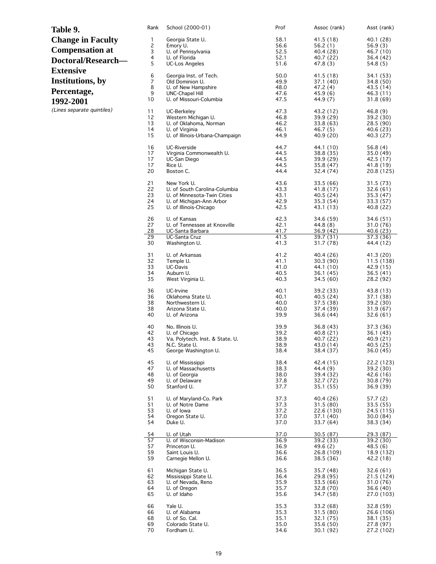| Table 9.                   | Rank                | School (2000-01)                                        | Prof         | Assoc (rank)           | Asst (rank)             |
|----------------------------|---------------------|---------------------------------------------------------|--------------|------------------------|-------------------------|
| <b>Change in Faculty</b>   | 1                   | Georgia State U.                                        | 58.1         | 41.5 (18)              | 40.1 (28)               |
| <b>Compensation at</b>     | 2                   | Emory U.                                                | 56.6         | 56.2(1)                | 56.9(3)                 |
|                            | 3<br>4              | U. of Pennsylvania<br>U. of Florida                     | 52.5<br>52.1 | 40.4 (28)<br>40.7 (22) | 46.7 (10)<br>36.4 (42)  |
| Doctoral/Research-         | 5                   | <b>UC-Los Angeles</b>                                   | 51.6         | 47.8 (3)               | 54.8 (5)                |
| <b>Extensive</b>           |                     |                                                         |              |                        |                         |
| Institutions, by           | 6<br>$\overline{7}$ | Georgia Inst. of Tech.<br>Old Dominion U.               | 50.0<br>49.9 | 41.5 (18)<br>37.1 (40) | 34.1 (53)<br>34.8 (50)  |
|                            | 8                   | U. of New Hampshire                                     | 48.0         | 47.2(4)                | 43.5 (14)               |
| Percentage,                | 9                   | UNC-Chapel Hill                                         | 47.6         | 45.9(6)                | 46.3 (11)               |
| 1992-2001                  | 10                  | U. of Missouri-Columbia                                 | 47.5         | 44.9 (7)               | 31.8(69)                |
| (Lines separate quintiles) | 11                  | UC-Berkeley                                             | 47.3         | 43.2 (12)              | 46.8(9)                 |
|                            | 12                  | Western Michigan U.                                     | 46.8         | 39.9(29)               | 39.2 (30)               |
|                            | 13<br>14            | U. of Oklahoma, Norman<br>U. of Virginia                | 46.2<br>46.1 | 33.8 (63)<br>46.7 (5)  | 28.5 (90)<br>40.6 (23)  |
|                            | 15                  | U. of Illinois-Urbana-Champaign                         | 44.9         | 40.9 (20)              | 40.3 (27)               |
|                            |                     |                                                         |              |                        |                         |
|                            | 16<br>17            | <b>UC-Riverside</b><br>Virginia Commonwealth U.         | 44.7<br>44.5 | 44.1 (10)<br>38.8 (35) | 56.8(4)<br>35.0 (49)    |
|                            | 17                  | UC-San Diego                                            | 44.5         | 39.9 (29)              | 42.5 (17)               |
|                            | 17                  | Rice U.                                                 | 44.5         | 35.8(47)               | 41.8 (19)               |
|                            | 20                  | Boston C.                                               | 44.4         | 32.4 (74)              | 20.8 (125)              |
|                            | 21                  | New York U.                                             | 43.6         | 33.5 (66)              | 31.5 (73)               |
|                            | 22                  | U. of South Carolina-Columbia                           | 43.3         | 41.8 (17)              | 32.6 (61)               |
|                            | 23<br>24            | U. of Minnesota-Twin Cities<br>U. of Michigan-Ann Arbor | 43.1<br>42.9 | 40.5(24)<br>35.3(54)   | 35.3(47)<br>33.3 (57)   |
|                            | 25                  | U. of Illinois-Chicago                                  | 42.5         | 43.1 (13)              | 40.8 (22)               |
|                            |                     |                                                         |              |                        |                         |
|                            | 26<br>27            | U. of Kansas<br>U. of Tennessee at Knoxville            | 42.3<br>42.1 | 34.6 (59)<br>44.8 (8)  | 34.6 (51)<br>31.0 (76)  |
|                            | 28                  | UC-Santa Barbara                                        | 41.7         | 36.9(42)               | 40.6(23)                |
|                            | 29<br>30            | UC-Santa Cruz<br>Washington U.                          | 41.5<br>41.3 | 39.7 (31)<br>31.7 (78) | 37.3 (36)<br>44.4 (12)  |
|                            |                     |                                                         |              |                        |                         |
|                            | 31                  | U. of Arkansas                                          | 41.2         | 40.4 (26)              | 41.3 (20)               |
|                            | 32<br>33            | Temple U.<br>UC-Davis                                   | 41.1<br>41.0 | 30.3(90)<br>44.1 (10)  | 11.5 (138)<br>42.9 (15) |
|                            | 34                  | Auburn U.                                               | 40.5         | 36.1 (45)              | 36.5(41)                |
|                            | 35                  | West Virginia U.                                        | 40.3         | 34.5 (60)              | 28.2 (92)               |
|                            | 36                  | UC-Irvine                                               | 40.1         | 39.2 (33)              | 43.8 (13)               |
|                            | 36                  | Oklahoma State U.                                       | 40.1         | 40.5(24)               | 37.1 (38)               |
|                            | 38                  | Northwestern U.                                         | 40.0         | 37.5 (38)              | 39.2 (30)               |
|                            | 38<br>40            | Arizona State U.<br>U. of Arizona                       | 40.0<br>39.9 | 37.4 (39)<br>36.6 (44) | 31.9(67)<br>32.6(61)    |
|                            |                     |                                                         |              |                        |                         |
|                            | 40<br>42            | No. Illinois U.<br>U. of Chicago                        | 39.9<br>39.2 | 36.8 (43)<br>40.8 (21) | 37.3 (36)<br>36.1(43)   |
|                            | 43                  | Va. Polytech. Inst. & State. U.                         | 38.9         | 40.7 (22)              | 40.9(21)                |
|                            | 43                  | N.C. State U.                                           | 38.9         | 43.0 (14)              | 40.5 (25)               |
|                            | 45                  | George Washington U.                                    | 38.4         | 38.4 (37)              | 36.0 (45)               |
|                            | 45                  | U. of Mississippi                                       | 38.4         | 42.4 (15)              | 22.2 (123)              |
|                            | 47                  | U. of Massachusetts                                     | 38.3         | 44.4 (9)               | 39.2 (30)               |
|                            | 48<br>49            | U. of Georgia<br>U. of Delaware                         | 38.0<br>37.8 | 39.4 (32)<br>32.7 (72) | 42.6 (16)<br>30.8(79)   |
|                            | 50                  | Stanford U.                                             | 37.7         | 35.1(55)               | 36.9(39)                |
|                            |                     |                                                         |              |                        |                         |
|                            | 51<br>51            | U. of Maryland-Co. Park<br>U. of Notre Dame             | 37.3<br>37.3 | 40.4 (26)<br>31.5(80)  | 57.7 (2)<br>33.5(55)    |
|                            | 53                  | U. of lowa                                              | 37.2         | 22.6 (130)             | 24.5 (115)              |
|                            | 54<br>54            | Oregon State U.                                         | 37.0<br>37.0 | 37.1(40)               | 30.0(84)                |
|                            |                     | Duke U.                                                 |              | 33.7 (64)              | 38.3 (34)               |
|                            | 54                  | U. of Utah                                              | 37.0         | 30.5 (87)              | 29.3(87)                |
|                            | 57<br>57            | U. of Wisconsin-Madison<br>Princeton U.                 | 36.9<br>36.9 | 39.2 (33)<br>49.6(2)   | 39.2 (30)<br>48.5(6)    |
|                            | 59                  | Saint Louis U.                                          | 36.6         | 26.8 (109)             | 18.9 (132)              |
|                            | 59                  | Carnegie Mellon U.                                      | 36.6         | 38.5 (36)              | 42.2 (18)               |
|                            | 61                  | Michigan State U.                                       | 36.5         | 35.7 (48)              | 32.6(61)                |
|                            | 62                  | Mississippi State U.                                    | 36.4         | 29.8 (95)              | 21.5 (124)              |
|                            | 63                  | U. of Nevada, Reno                                      | 35.9         | 33.5 (66)              | 31.0 (76)               |
|                            | 64<br>65            | U. of Oregon<br>U. of Idaho                             | 35.7<br>35.6 | 32.8 (70)<br>34.7 (58) | 36.6(40)<br>27.0 (103)  |
|                            |                     |                                                         |              |                        |                         |
|                            | 66                  | Yale U.                                                 | 35.3         | 33.2 (68)              | 32.8(59)                |
|                            | 66<br>68            | U. of Alabama<br>U. of So. Cal.                         | 35.3<br>35.1 | 31.5 (80)<br>32.1 (75) | 26.6 (106)<br>38.1 (35) |
|                            | 69                  | Colorado State U.                                       | 35.0         | 35.6 (50)              | 27.8 (97)               |
|                            | 70                  | Fordham U.                                              | 34.6         | 30.1 (92)              | 27.2 (102)              |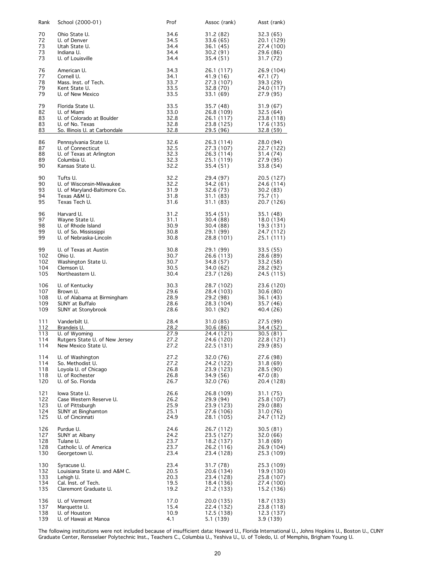| Rank       | School (2000-01)                                      | Prof         | Assoc (rank)             | Asst (rank)              |
|------------|-------------------------------------------------------|--------------|--------------------------|--------------------------|
| 70<br>72   | Ohio State U.<br>U. of Denver                         | 34.6<br>34.5 | 31.2 (82)<br>33.6 (65)   | 32.3 (65)<br>20.1 (129)  |
| 73<br>73   | Utah State U.<br>Indiana U.                           | 34.4<br>34.4 | 36.1 (45)<br>30.2 (91)   | 27.4 (100)<br>29.6 (86)  |
| 73         | U. of Louisville                                      | 34.4         | 35.4 (51)                | 31.7 (72)                |
| 76<br>77   | American U.<br>Cornell U.                             | 34.3<br>34.1 | 26.1 (117)<br>41.9 (16)  | 26.9 (104)<br>47.1 (7)   |
| 78         | Mass. Inst. of Tech.                                  | 33.7         | 27.3 (107)               | 39.3 (29)                |
| 79<br>79   | Kent State U.<br>U. of New Mexico                     | 33.5<br>33.5 | 32.8 (70)<br>33.1 (69)   | 24.0 (117)<br>27.9 (95)  |
|            |                                                       |              |                          |                          |
| 79<br>82   | Florida State U.<br>U. of Miami                       | 33.5<br>33.0 | 35.7 (48)<br>26.8 (109)  | 31.9 (67)<br>32.5(64)    |
| 83         | U. of Colorado at Boulder<br>U. of No. Texas          | 32.8         | 26.1 (117)               | 23.8 (118)               |
| 83<br>83   | So. Illinois U. at Carbondale                         | 32.8<br>32.8 | 23.8 (125)<br>29.5 (96)  | 17.6 (135)<br>32.8 (59)  |
| 86         | Pennsylvania State U.                                 | 32.6         | 26.3 (114)               | 28.0 (94)                |
| 87<br>88   | U. of Connecticut<br>U. of Texas at Arlington         | 32.5<br>32.3 | 27.3 (107)<br>26.3 (114) | 22.7 (122)<br>31.4 (74)  |
| 89         | Columbia U.                                           | 32.3         | 25.1 (119)               | 27.9 (95)                |
| 90         | Kansas State U.                                       | 32.2         | 35.4 (51)                | 33.8 (54)                |
| 90<br>90   | Tufts U.<br>U. of Wisconsin-Milwaukee                 | 32.2<br>32.2 | 29.4 (97)<br>34.2 (61)   | 20.5 (127)<br>24.6 (114) |
| 93         | U. of Maryland-Baltimore Co.                          | 31.9         | 32.6 (73)                | 30.2 (83)                |
| 94<br>95   | Texas A&M U.<br>Texas Tech U.                         | 31.8<br>31.6 | 31.1 (83)<br>31.1 (83)   | 75.7 (1)<br>20.7 (126)   |
| 96         | Harvard U.                                            | 31.2         | 35.4 (51)                | 35.1 (48)                |
| 97<br>98   | Wayne State U.<br>U. of Rhode Island                  | 31.1<br>30.9 | 30.4 (88)<br>30.4 (88)   | 18.0 (134)<br>19.3 (131) |
| 99         | U. of So. Mississippi                                 | 30.8         | 29.1 (99)                | 24.7 (112)               |
| 99         | U. of Nebraska-Lincoln                                | 30.8         | 28.8 (101)               | 25.1 (111)               |
| 99<br>102  | U. of Texas at Austin<br>Ohio U.                      | 30.8<br>30.7 | 29.1 (99)<br>26.6 (113)  | 33.5 (55)<br>28.6 (89)   |
| 102        | Washington State U.                                   | 30.7         | 34.8 (57)                | 33.2 (58)                |
| 104<br>105 | Clemson U.<br>Northeastern U.                         | 30.5<br>30.4 | 34.0 (62)<br>23.7 (126)  | 28.2 (92)<br>24.5 (115)  |
| 106        | U. of Kentucky                                        | 30.3         | 28.7 (102)               | 23.6 (120)               |
| 107        | Brown U.                                              | 29.6         | 28.4 (103)               | 30.6(80)                 |
| 108<br>109 | U. of Alabama at Birmingham<br>SUNY at Buffalo        | 28.9<br>28.6 | 29.2 (98)<br>28.3 (104)  | 36.1 (43)<br>35.7 (46)   |
| 109        | SUNY at Stonybrook                                    | 28.6         | 30.1 (92)                | 40.4 (26)                |
| 111<br>112 | Vanderbilt U.<br>Brandeis U.                          | 28.4<br>28.2 | 31.0 (85)<br>30.6 (86)   | 27.5 (99)<br>34.4 (52)   |
| 113        | U. of Wyoming                                         | 27.9         | 24.4 (121)               | 30.5 (81)                |
| 114<br>114 | Rutgers State U. of New Jersey<br>New Mexico State U. | 27.2<br>27.2 | 24.6 (120)<br>22.5 (131) | 22.8 (121)<br>29.9 (85)  |
| 114        | U. of Washington                                      | 27.2         | 32.0 (76)                | 27.6 (98)                |
| 114<br>118 | So. Methodist U.<br>Loyola U. of Chicago              | 27.2<br>26.8 | 24.2 (122)<br>23.9 (123) | 31.8(69)<br>28.5 (90)    |
| 118        | U. of Rochester                                       | 26.8         | 34.9 (56)                | 47.0 (8)                 |
| 120        | U. of So. Florida                                     | 26.7         | 32.0 (76)                | 20.4 (128)               |
| 121<br>122 | lowa State U.<br>Case Western Reserve U.              | 26.6<br>26.2 | 26.8 (109)<br>29.9 (94)  | 31.1(75)<br>25.8 (107)   |
| 123        | U. of Pittsburgh                                      | 25.9         | 23.9 (123)               | 29.0 (88)                |
| 124<br>125 | <b>SUNY</b> at Binghamton<br>U. of Cincinnati         | 25.1<br>24.9 | 27.6 (106)<br>28.1 (105) | 31.0 (76)<br>24.7 (112)  |
| 126        | Purdue U.                                             | 24.6         | 26.7 (112)               | 30.5(81)                 |
| 127        | SUNY at Albany                                        | 24.2         | 23.5 (127)               | 32.0 (66)                |
| 128<br>128 | Tulane U.<br>Catholic U. of America                   | 23.7<br>23.7 | 18.2 (137)<br>26.2 (116) | 31.8(69)<br>26.9 (104)   |
| 130        | Georgetown U.                                         | 23.4         | 23.4 (128)               | 25.3 (109)               |
| 130<br>132 | Syracuse U.<br>Louisiana State U. and A&M C.          | 23.4<br>20.5 | 31.7 (78)<br>20.6 (134)  | 25.3 (109)               |
| 133        | Lehigh U.                                             | 20.3         | 23.4 (128)               | 19.9 (130)<br>25.8 (107) |
| 134<br>135 | Cal. Inst. of Tech.<br>Claremont Graduate U.          | 19.5<br>19.2 | 18.4 (136)<br>21.2 (133) | 27.4 (100)<br>15.2 (136) |
| 136        | U. of Vermont                                         | 17.0         | 20.0 (135)               | 18.7 (133)               |
| 137        | Marquette U.                                          | 15.4         | 22.4 (132)               | 23.8 (118)               |
| 138<br>139 | U. of Houston<br>U. of Hawaii at Manoa                | 10.9<br>4.1  | 12.5 (138)<br>5.1 (139)  | 12.3 (137)<br>3.9(139)   |
|            |                                                       |              |                          |                          |

The following institutions were not included because of insufficient data: Howard U., Florida International U., Johns Hopkins U., Boston U., CUNY Graduate Center, Rensselaer Polytechnic Inst., Teachers C., Columbia U., Yeshiva U., U. of Toledo, U. of Memphis, Brigham Young U.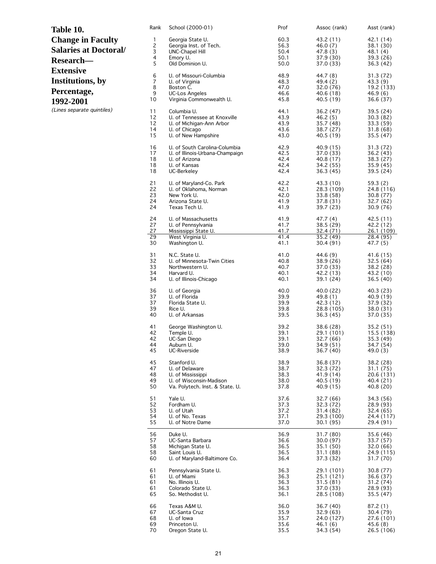| Table 10.                    | Rank         | School (2000-01)                                | Prof         | Assoc (rank)            | Asst (rank)             |
|------------------------------|--------------|-------------------------------------------------|--------------|-------------------------|-------------------------|
| <b>Change in Faculty</b>     | $\mathbf{1}$ | Georgia State U.                                | 60.3         | 43.2 (11)               | 42.1 (14)               |
|                              | 2            | Georgia Inst. of Tech.                          | 56.3         | 46.0 (7)                | 38.1 (30)               |
| <b>Salaries at Doctoral/</b> | 3            | UNC-Chapel Hill                                 | 50.4         | 47.8 (3)                | 48.1 (4)                |
| Research-                    | 4            | Emory U.                                        | 50.1         | 37.9 (30)               | 39.3 (26)               |
|                              | 5            | Old Dominion U.                                 | 50.0         | 37.0 (33)               | 36.3 (42)               |
| <b>Extensive</b>             | 6            | U. of Missouri-Columbia                         | 48.9         | 44.7 (8)                | 31.3 (72)               |
| Institutions, by             | 7            | U. of Virginia                                  | 48.3         | 49.4 (2)                | 43.3 (9)                |
|                              | 8            | Boston C.                                       | 47.0         | 32.0 (76)               | 19.2 (133)              |
| Percentage,                  | 9            | <b>UC-Los Angeles</b>                           | 46.6         | 40.6 (18)               | 46.9(6)                 |
|                              | 10           | Virginia Commonwealth U.                        | 45.8         | 40.5 (19)               | 36.6 (37)               |
| 1992-2001                    |              |                                                 |              |                         |                         |
| (Lines separate quintiles)   | 11           | Columbia U.                                     | 44.1         | 36.2 (47)               | 39.5(24)                |
|                              | 12           | U. of Tennessee at Knoxville                    | 43.9         | 46.2(5)                 | 30.3(82)                |
|                              | 12           | U. of Michigan-Ann Arbor                        | 43.9         | 35.7 (48)               | 33.3(59)                |
|                              | 14           | U. of Chicago                                   | 43.6         | 38.7 (27)               | 31.8(68)                |
|                              | 15           | U. of New Hampshire                             | 43.0         | 40.5 (19)               | 35.5 (47)               |
|                              | 16           | U. of South Carolina-Columbia                   | 42.9         | 40.9 (15)               | 31.3(72)                |
|                              | 17           | U. of Illinois-Urbana-Champaign                 | 42.5         | 37.0 (33)               | 36.2 (43)               |
|                              | 18           | U. of Arizona                                   | 42.4         | 40.8(17)                | 38.3(27)                |
|                              | 18           | U. of Kansas                                    | 42.4         | 34.2 (55)               | 35.9 (45)               |
|                              | 18           | UC-Berkeley                                     | 42.4         | 36.3 (45)               | 39.5 (24)               |
|                              | 21           | U. of Maryland-Co. Park                         | 42.2         | 43.3 (10)               | 59.3(2)                 |
|                              | 22           | U. of Oklahoma, Norman                          | 42.1         | 28.3 (109)              | 24.8 (116)              |
|                              | 23           | New York U.                                     | 42.0         | 33.8 (58)               | 30.8 (77)               |
|                              | 24           | Arizona State U.                                | 41.9         | 37.8 (31)               | 32.7 (62)               |
|                              | 24           | Texas Tech U.                                   | 41.9         | 39.7 (23)               | 30.9 (76)               |
|                              | 24           | U. of Massachusetts                             | 41.9         | 47.7(4)                 | 42.5(11)                |
|                              | 27<br>27     | U. of Pennsylvania                              | 41.7<br>41.7 | 38.5 (29)               | 42.2 (12)               |
|                              | 29           | <u>Mississippi State U.</u><br>West Virginia U. | 41.4         | 32.4 (71)<br>35.2 (49)  | 26.1 (109)<br>28.4 (95) |
|                              | 30           | Washington U.                                   | 41.1         | 30.4(91)                | 47.7 (5)                |
|                              |              |                                                 |              |                         |                         |
|                              | 31<br>32     | N.C. State U.<br>U. of Minnesota-Twin Cities    | 41.0<br>40.8 | 44.6 (9)                | 41.6 (15)               |
|                              | 33           | Northwestern U.                                 | 40.7         | 38.9 (26)<br>37.0 (33)  | 32.5(64)<br>38.2 (28)   |
|                              | 34           | Harvard U.                                      | 40.1         | 42.2 (13)               | 43.2 (10)               |
|                              | 34           | U. of Illinois-Chicago                          | 40.1         | 39.1(24)                | 36.5(40)                |
|                              |              |                                                 |              |                         |                         |
|                              | 36           | U. of Georgia                                   | 40.0         | 40.0 (22)               | 40.3 (23)               |
|                              | 37<br>37     | U. of Florida<br>Florida State U.               | 39.9<br>39.9 | 49.8 (1)                | 40.9(19)<br>37.9 (32)   |
|                              | 39           | Rice U.                                         | 39.8         | 42.3 (12)<br>28.8 (105) | 38.0 (31)               |
|                              | 40           | U. of Arkansas                                  | 39.5         | 36.3(45)                | 37.0 (35)               |
|                              |              |                                                 |              |                         |                         |
|                              | 41<br>42     | George Washington U.                            | 39.2         | 38.6 (28)               | 35.2 (51)               |
|                              | 42           | Temple U.<br>UC-San Diego                       | 39.1<br>39.1 | 29.1 (101)              | 15.5 (138)              |
|                              | 44           | Auburn U.                                       | 39.0         | 32.7 (66)<br>34.9 (51)  | 35.3 (49)<br>34.7 (54)  |
|                              | 45           | UC-Riverside                                    | 38.9         | 36.7 (40)               | 49.0(3)                 |
|                              | 45           | Stanford U.                                     | 38.9         | 36.8 (37)               |                         |
|                              |              |                                                 |              |                         | 38.2 (28)               |
|                              | 47<br>48     | U. of Delaware<br>U. of Mississippi             | 38.7<br>38.3 | 32.3 (72)<br>41.9 (14)  | 31.1 (75)<br>20.6 (131) |
|                              | 49           | U. of Wisconsin-Madison                         | 38.0         | 40.5 (19)               | 40.4 (21)               |
|                              | 50           | Va. Polytech. Inst. & State. U.                 | 37.8         | 40.9 (15)               | 40.8 (20)               |
|                              |              | Yale U.                                         |              |                         |                         |
|                              | 51<br>52     | Fordham U.                                      | 37.6<br>37.3 | 32.7 (66)<br>32.3 (72)  | 34.3 (56)<br>28.9 (93)  |
|                              | 53           | U. of Utah                                      | 37.2         | 31.4 (82)               | 32.4 (65)               |
|                              | 54           | U. of No. Texas                                 | 37.1         | 29.3 (100)              | 24.4 (117)              |
|                              | 55           | U. of Notre Dame                                | 37.0         | 30.1 (95)               | 29.4 (91)               |
|                              | 56           | Duke U.                                         | 36.9         | 31.7 (80)               | 35.6 (46)               |
|                              | 57           | UC-Santa Barbara                                | 36.6         | 30.0 (97)               | 33.7 (57)               |
|                              | 58           | Michigan State U.                               | 36.5         | 35.1 (50)               | 32.0 (66)               |
|                              | 58           | Saint Louis U.                                  | 36.5         | 31.1 (88)               | 24.9 (115)              |
|                              | 60           | U. of Maryland-Baltimore Co.                    | 36.4         | 37.3 (32)               | 31.7 (70)               |
|                              | 61           | Pennsylvania State U.                           | 36.3         | 29.1 (101)              | 30.8 (77)               |
|                              | 61           | U. of Miami                                     | 36.3         | 25.1 (121)              | 36.6 (37)               |
|                              | 61           | No. Illinois U.                                 | 36.3         | 31.5 (81)               | 31.2 (74)               |
|                              | 61           | Colorado State U.                               | 36.3         | 37.0 (33)               | 28.9 (93)               |
|                              | 65           | So. Methodist U.                                | 36.1         | 28.5 (108)              | 35.5 (47)               |
|                              | 66           | Texas A&M U.                                    | 36.0         | 36.7 (40)               | 87.2 (1)                |
|                              | 67           | UC-Santa Cruz                                   | 35.9         | 32.9 (63)               | 30.4 (79)               |
|                              | 68           | U. of lowa                                      | 35.7         | 24.0 (127)              | 27.6 (101)              |
|                              | 69           | Princeton U.                                    | 35.6         | 46.1 (6)                | 45.6 (8)                |
|                              | 70           | Oregon State U.                                 | 35.5         | 34.3 (54)               | 26.5 (106)              |